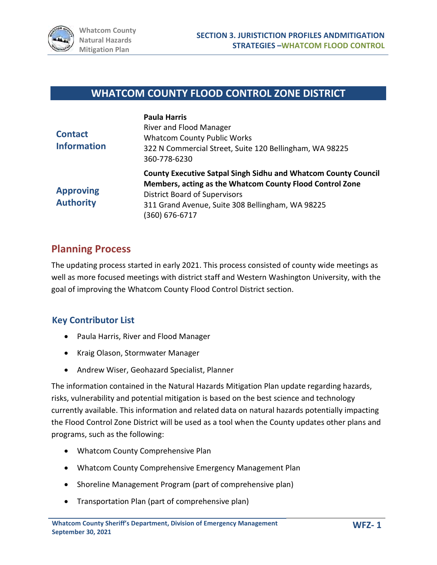

# **WHATCOM COUNTY FLOOD CONTROL ZONE DISTRICT**

| <b>Contact</b><br><b>Information</b> | <b>Paula Harris</b><br>River and Flood Manager<br><b>Whatcom County Public Works</b><br>322 N Commercial Street, Suite 120 Bellingham, WA 98225<br>360-778-6230                                                                                 |
|--------------------------------------|-------------------------------------------------------------------------------------------------------------------------------------------------------------------------------------------------------------------------------------------------|
| <b>Approving</b><br><b>Authority</b> | <b>County Executive Satpal Singh Sidhu and Whatcom County Council</b><br>Members, acting as the Whatcom County Flood Control Zone<br><b>District Board of Supervisors</b><br>311 Grand Avenue, Suite 308 Bellingham, WA 98225<br>(360) 676-6717 |

# **Planning Process**

The updating process started in early 2021. This process consisted of county wide meetings as well as more focused meetings with district staff and Western Washington University, with the goal of improving the Whatcom County Flood Control District section.

### **Key Contributor List**

- Paula Harris, River and Flood Manager
- Kraig Olason, Stormwater Manager
- Andrew Wiser, Geohazard Specialist, Planner

The information contained in the Natural Hazards Mitigation Plan update regarding hazards, risks, vulnerability and potential mitigation is based on the best science and technology currently available. This information and related data on natural hazards potentially impacting the Flood Control Zone District will be used as a tool when the County updates other plans and programs, such as the following:

- Whatcom County Comprehensive Plan
- Whatcom County Comprehensive Emergency Management Plan
- Shoreline Management Program (part of comprehensive plan)
- Transportation Plan (part of comprehensive plan)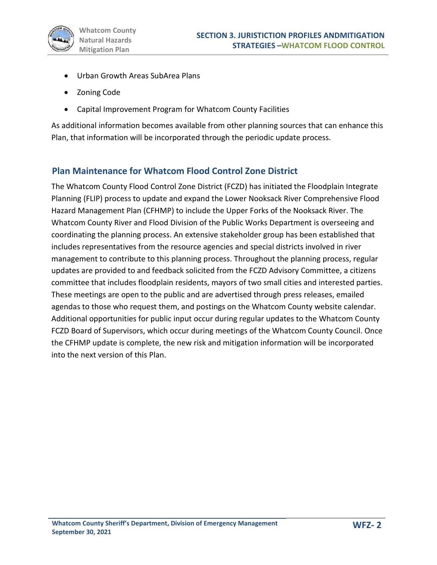- Urban Growth Areas SubArea Plans
- Zoning Code
- Capital Improvement Program for Whatcom County Facilities

As additional information becomes available from other planning sources that can enhance this Plan, that information will be incorporated through the periodic update process.

### **Plan Maintenance for Whatcom Flood Control Zone District**

The Whatcom County Flood Control Zone District (FCZD) has initiated the Floodplain Integrate Planning (FLIP) process to update and expand the Lower Nooksack River Comprehensive Flood Hazard Management Plan (CFHMP) to include the Upper Forks of the Nooksack River. The Whatcom County River and Flood Division of the Public Works Department is overseeing and coordinating the planning process. An extensive stakeholder group has been established that includes representatives from the resource agencies and special districts involved in river management to contribute to this planning process. Throughout the planning process, regular updates are provided to and feedback solicited from the FCZD Advisory Committee, a citizens committee that includes floodplain residents, mayors of two small cities and interested parties. These meetings are open to the public and are advertised through press releases, emailed agendas to those who request them, and postings on the Whatcom County website calendar. Additional opportunities for public input occur during regular updates to the Whatcom County FCZD Board of Supervisors, which occur during meetings of the Whatcom County Council. Once the CFHMP update is complete, the new risk and mitigation information will be incorporated into the next version of this Plan.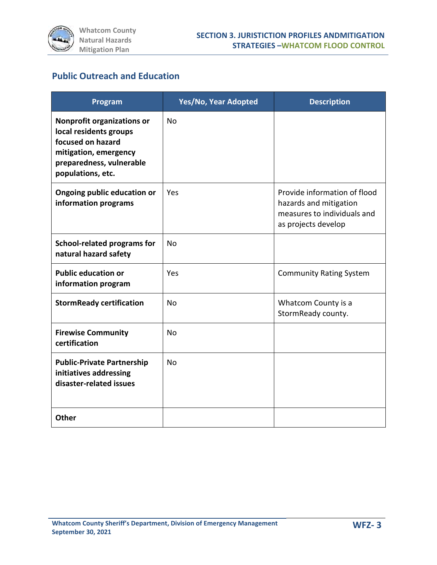

# **Public Outreach and Education**

| Program                                                                                                                                                    | Yes/No, Year Adopted | <b>Description</b>                                                                                           |
|------------------------------------------------------------------------------------------------------------------------------------------------------------|----------------------|--------------------------------------------------------------------------------------------------------------|
| <b>Nonprofit organizations or</b><br>local residents groups<br>focused on hazard<br>mitigation, emergency<br>preparedness, vulnerable<br>populations, etc. | <b>No</b>            |                                                                                                              |
| Ongoing public education or<br>information programs                                                                                                        | Yes                  | Provide information of flood<br>hazards and mitigation<br>measures to individuals and<br>as projects develop |
| <b>School-related programs for</b><br>natural hazard safety                                                                                                | <b>No</b>            |                                                                                                              |
| <b>Public education or</b><br>information program                                                                                                          | Yes                  | <b>Community Rating System</b>                                                                               |
| <b>StormReady certification</b>                                                                                                                            | <b>No</b>            | Whatcom County is a<br>StormReady county.                                                                    |
| <b>Firewise Community</b><br>certification                                                                                                                 | <b>No</b>            |                                                                                                              |
| <b>Public-Private Partnership</b><br>initiatives addressing<br>disaster-related issues                                                                     | <b>No</b>            |                                                                                                              |
| <b>Other</b>                                                                                                                                               |                      |                                                                                                              |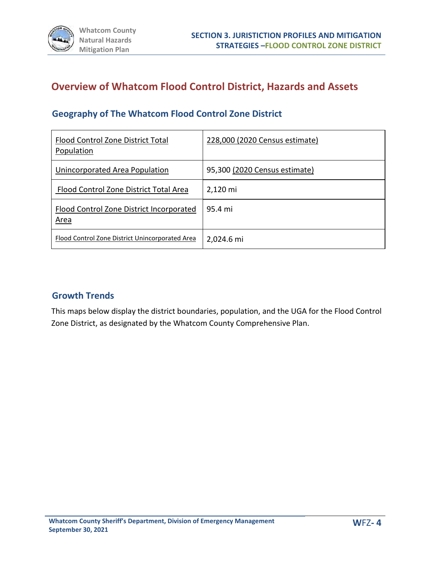# **Overview of Whatcom Flood Control District, Hazards and Assets**

## **Geography of The Whatcom Flood Control Zone District**

| Flood Control Zone District Total<br>Population  | 228,000 (2020 Census estimate) |
|--------------------------------------------------|--------------------------------|
| Unincorporated Area Population                   | 95,300 (2020 Census estimate)  |
| Flood Control Zone District Total Area           | 2,120 mi                       |
| Flood Control Zone District Incorporated<br>Area | 95.4 mi                        |
| Flood Control Zone District Unincorporated Area  | 2,024.6 mi                     |

### **Growth Trends**

This maps below display the district boundaries, population, and the UGA for the Flood Control Zone District, as designated by the Whatcom County Comprehensive Plan.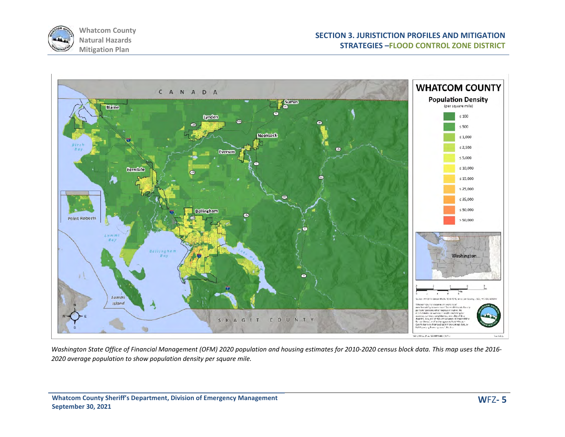



*Washington State Office of Financial Management (OFM) 2020 population and housing estimates for 2010-2020 census block data. This map uses the 2016- 2020 average population to show population density per square mile.*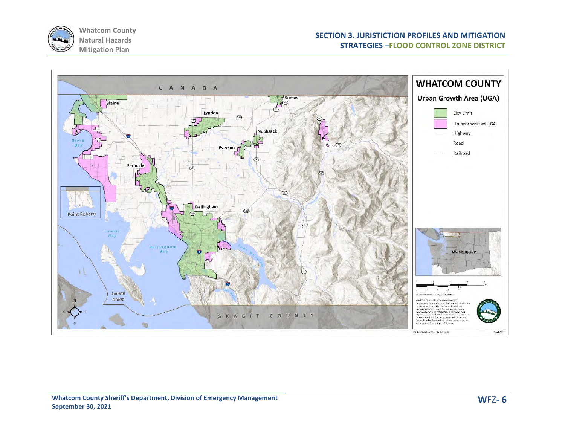

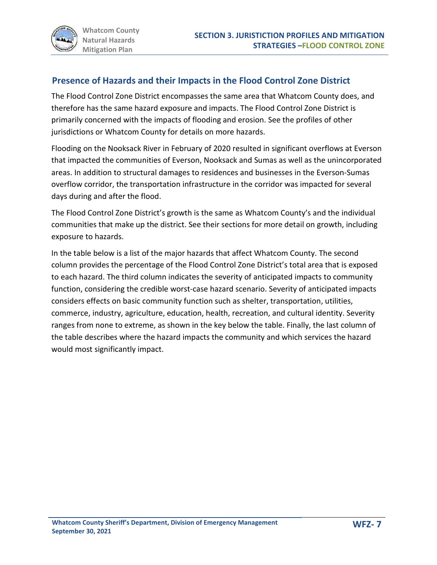### **Presence of Hazards and their Impacts in the Flood Control Zone District**

The Flood Control Zone District encompasses the same area that Whatcom County does, and therefore has the same hazard exposure and impacts. The Flood Control Zone District is primarily concerned with the impacts of flooding and erosion. See the profiles of other jurisdictions or Whatcom County for details on more hazards.

Flooding on the Nooksack River in February of 2020 resulted in significant overflows at Everson that impacted the communities of Everson, Nooksack and Sumas as well as the unincorporated areas. In addition to structural damages to residences and businesses in the Everson-Sumas overflow corridor, the transportation infrastructure in the corridor was impacted for several days during and after the flood.

The Flood Control Zone District's growth is the same as Whatcom County's and the individual communities that make up the district. See their sections for more detail on growth, including exposure to hazards.

In the table below is a list of the major hazards that affect Whatcom County. The second column provides the percentage of the Flood Control Zone District's total area that is exposed to each hazard. The third column indicates the severity of anticipated impacts to community function, considering the credible worst-case hazard scenario. Severity of anticipated impacts considers effects on basic community function such as shelter, transportation, utilities, commerce, industry, agriculture, education, health, recreation, and cultural identity. Severity ranges from none to extreme, as shown in the key below the table. Finally, the last column of the table describes where the hazard impacts the community and which services the hazard would most significantly impact.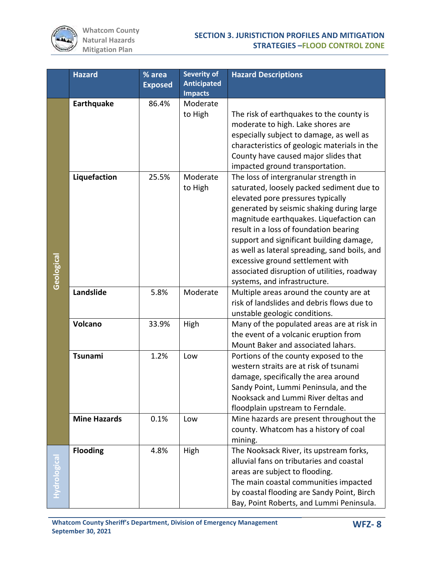

|             | <b>Hazard</b>       | $%$ area       | <b>Severity of</b>         | <b>Hazard Descriptions</b>                                                                                                                                                                                                                                                                                                                                                                                                                                                |  |  |  |
|-------------|---------------------|----------------|----------------------------|---------------------------------------------------------------------------------------------------------------------------------------------------------------------------------------------------------------------------------------------------------------------------------------------------------------------------------------------------------------------------------------------------------------------------------------------------------------------------|--|--|--|
|             |                     | <b>Exposed</b> | <b>Anticipated</b>         |                                                                                                                                                                                                                                                                                                                                                                                                                                                                           |  |  |  |
|             | Earthquake          | 86.4%          | <b>Impacts</b><br>Moderate |                                                                                                                                                                                                                                                                                                                                                                                                                                                                           |  |  |  |
|             |                     |                | to High                    | The risk of earthquakes to the county is<br>moderate to high. Lake shores are<br>especially subject to damage, as well as<br>characteristics of geologic materials in the<br>County have caused major slides that<br>impacted ground transportation.                                                                                                                                                                                                                      |  |  |  |
| Geological  | Liquefaction        | 25.5%          | Moderate<br>to High        | The loss of intergranular strength in<br>saturated, loosely packed sediment due to<br>elevated pore pressures typically<br>generated by seismic shaking during large<br>magnitude earthquakes. Liquefaction can<br>result in a loss of foundation bearing<br>support and significant building damage,<br>as well as lateral spreading, sand boils, and<br>excessive ground settlement with<br>associated disruption of utilities, roadway<br>systems, and infrastructure. |  |  |  |
|             | Landslide           | 5.8%           | Moderate                   | Multiple areas around the county are at<br>risk of landslides and debris flows due to<br>unstable geologic conditions.                                                                                                                                                                                                                                                                                                                                                    |  |  |  |
|             | <b>Volcano</b>      | 33.9%          | High                       | Many of the populated areas are at risk in<br>the event of a volcanic eruption from<br>Mount Baker and associated lahars.                                                                                                                                                                                                                                                                                                                                                 |  |  |  |
|             | Tsunami             | 1.2%           | Low                        | Portions of the county exposed to the<br>western straits are at risk of tsunami<br>damage, specifically the area around<br>Sandy Point, Lummi Peninsula, and the<br>Nooksack and Lummi River deltas and<br>floodplain upstream to Ferndale.                                                                                                                                                                                                                               |  |  |  |
|             | <b>Mine Hazards</b> | 0.1%           | Low                        | Mine hazards are present throughout the<br>county. Whatcom has a history of coal<br>mining.                                                                                                                                                                                                                                                                                                                                                                               |  |  |  |
| Hydrologica | <b>Flooding</b>     | 4.8%           | High                       | The Nooksack River, its upstream forks,<br>alluvial fans on tributaries and coastal<br>areas are subject to flooding.<br>The main coastal communities impacted<br>by coastal flooding are Sandy Point, Birch<br>Bay, Point Roberts, and Lummi Peninsula.                                                                                                                                                                                                                  |  |  |  |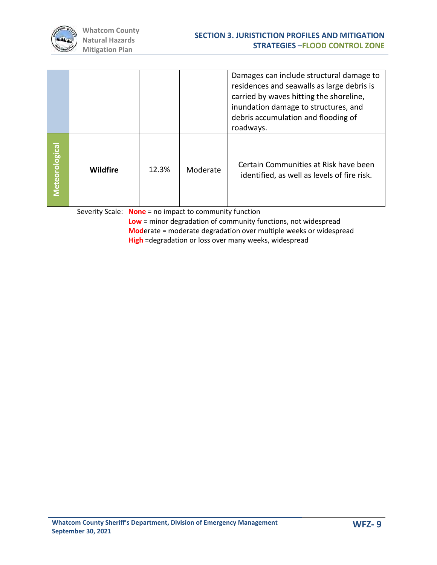

|                       |                 |       |          | Damages can include structural damage to<br>residences and seawalls as large debris is<br>carried by waves hitting the shoreline,<br>inundation damage to structures, and<br>debris accumulation and flooding of<br>roadways. |
|-----------------------|-----------------|-------|----------|-------------------------------------------------------------------------------------------------------------------------------------------------------------------------------------------------------------------------------|
| <b>Meteorological</b> | <b>Wildfire</b> | 12.3% | Moderate | Certain Communities at Risk have been<br>identified, as well as levels of fire risk.                                                                                                                                          |

Severity Scale: **None** = no impact to community function

**Low** = minor degradation of community functions, not widespread **Mod**erate = moderate degradation over multiple weeks or widespread **High** =degradation or loss over many weeks, widespread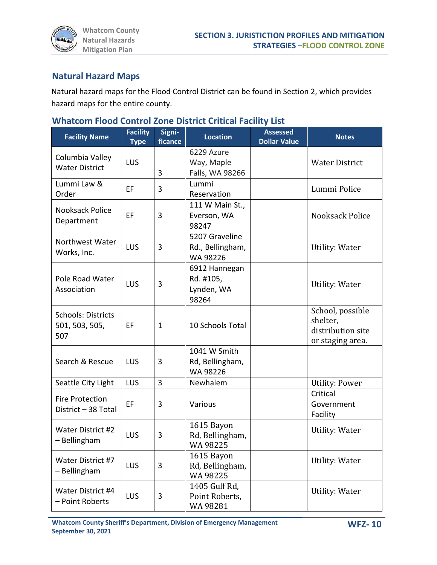

# **Natural Hazard Maps**

Natural hazard maps for the Flood Control District can be found in Section 2, which provides hazard maps for the entire county.

### **Whatcom Flood Control Zone District Critical Facility List**

| <b>Facility Name</b>                               | <b>Facility</b><br><b>Type</b> | Signi-<br>ficance | <b>Location</b>                                   | <b>Assessed</b><br><b>Dollar Value</b> | <b>Notes</b>                                                          |
|----------------------------------------------------|--------------------------------|-------------------|---------------------------------------------------|----------------------------------------|-----------------------------------------------------------------------|
| Columbia Valley<br><b>Water District</b>           | LUS                            | 3                 | 6229 Azure<br>Way, Maple<br>Falls, WA 98266       |                                        | <b>Water District</b>                                                 |
| Lummi Law &<br>Order                               | EF                             | 3                 | Lummi<br>Reservation                              |                                        | Lummi Police                                                          |
| <b>Nooksack Police</b><br>Department               | EF                             | 3                 | 111 W Main St.,<br>Everson, WA<br>98247           |                                        | Nooksack Police                                                       |
| Northwest Water<br>Works, Inc.                     | LUS                            | 3                 | 5207 Graveline<br>Rd., Bellingham,<br>WA 98226    |                                        | <b>Utility: Water</b>                                                 |
| Pole Road Water<br>Association                     | LUS                            | 3                 | 6912 Hannegan<br>Rd. #105,<br>Lynden, WA<br>98264 |                                        | <b>Utility: Water</b>                                                 |
| <b>Schools: Districts</b><br>501, 503, 505,<br>507 | EF                             | $\mathbf{1}$      | 10 Schools Total                                  |                                        | School, possible<br>shelter,<br>distribution site<br>or staging area. |
| Search & Rescue                                    | LUS                            | 3                 | 1041 W Smith<br>Rd, Bellingham,<br>WA 98226       |                                        |                                                                       |
| Seattle City Light                                 | LUS                            | 3                 | Newhalem                                          |                                        | <b>Utility: Power</b>                                                 |
| <b>Fire Protection</b><br>District - 38 Total      | EF                             | 3                 | Various                                           |                                        | Critical<br>Government<br>Facility                                    |
| Water District #2<br>- Bellingham                  | LUS                            | 3                 | 1615 Bayon<br>Rd, Bellingham,<br>WA 98225         |                                        | <b>Utility: Water</b>                                                 |
| Water District #7<br>- Bellingham                  | LUS                            | 3                 | 1615 Bayon<br>Rd, Bellingham,<br>WA 98225         |                                        | <b>Utility: Water</b>                                                 |
| Water District #4<br>- Point Roberts               | LUS                            | 3                 | 1405 Gulf Rd,<br>Point Roberts,<br>WA 98281       |                                        | <b>Utility: Water</b>                                                 |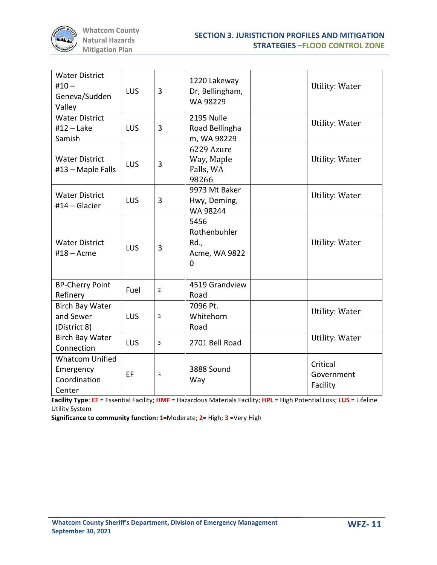

**Whatcom County Natural Hazards Mitigation Plan**

| <b>Water District</b><br>$#10 -$<br>Geneva/Sudden<br>Valley   | LUS  | 3              | 1220 Lakeway<br>Dr, Bellingham,<br>WA 98229                     | <b>Utility: Water</b>              |
|---------------------------------------------------------------|------|----------------|-----------------------------------------------------------------|------------------------------------|
| <b>Water District</b><br>$#12 -$ Lake<br>Samish               | LUS  | 3              | 2195 Nulle<br>Road Bellingha<br>m, WA 98229                     | <b>Utility: Water</b>              |
| <b>Water District</b><br>#13 - Maple Falls                    | LUS  | 3              | 6229 Azure<br>Way, Maple<br>Falls, WA<br>98266                  | <b>Utility: Water</b>              |
| <b>Water District</b><br>#14 - Glacier                        | LUS  | 3              | 9973 Mt Baker<br>Hwy, Deming,<br>WA 98244                       | <b>Utility: Water</b>              |
| <b>Water District</b><br>$#18 -$ Acme                         | LUS  | 3              | 5456<br>Rothenbuhler<br>Rd.,<br>Acme, WA 9822<br>$\overline{0}$ | <b>Utility: Water</b>              |
| <b>BP-Cherry Point</b><br>Refinery                            | Fuel | $\overline{2}$ | 4519 Grandview<br>Road                                          |                                    |
| <b>Birch Bay Water</b><br>and Sewer<br>(District 8)           | LUS  | 3              | 7096 Pt.<br>Whitehorn<br>Road                                   | <b>Utility: Water</b>              |
| <b>Birch Bay Water</b><br>Connection                          | LUS  | 3              | 2701 Bell Road                                                  | <b>Utility: Water</b>              |
| <b>Whatcom Unified</b><br>Emergency<br>Coordination<br>Center | EF   | 3              | 3888 Sound<br>Way                                               | Critical<br>Government<br>Facility |

**Facility Type**: **EF** = Essential Facility; **HMF** = Hazardous Materials Facility; **HPL** = High Potential Loss; **LUS** = Lifeline Utility System

**Significance to community function: 1=**Moderate; **2=** High; **3 =**Very High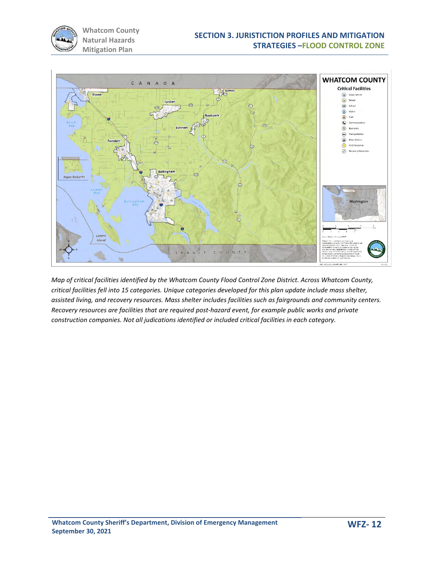



*Map of critical facilities identified by the Whatcom County Flood Control Zone District. Across Whatcom County, critical facilities fell into 15 categories. Unique categories developed for this plan update include mass shelter, assisted living, and recovery resources. Mass shelter includes facilities such as fairgrounds and community centers. Recovery resources are facilities that are required post-hazard event, for example public works and private construction companies. Not all judications identified or included critical facilities in each category.*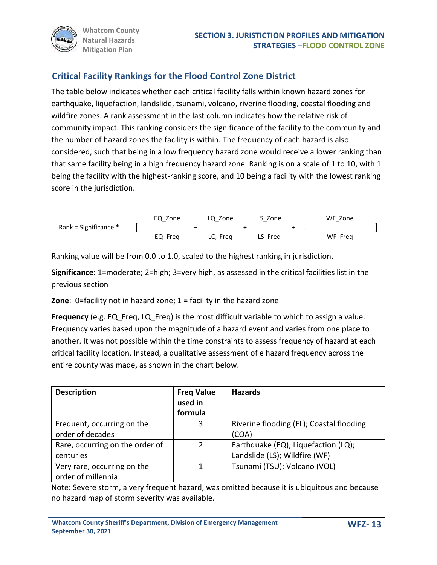

# **Critical Facility Rankings for the Flood Control Zone District**

The table below indicates whether each critical facility falls within known hazard zones for earthquake, liquefaction, landslide, tsunami, volcano, riverine flooding, coastal flooding and wildfire zones. A rank assessment in the last column indicates how the relative risk of community impact. This ranking considers the significance of the facility to the community and the number of hazard zones the facility is within. The frequency of each hazard is also considered, such that being in a low frequency hazard zone would receive a lower ranking than that same facility being in a high frequency hazard zone. Ranking is on a scale of 1 to 10, with 1 being the facility with the highest-ranking score, and 10 being a facility with the lowest ranking score in the jurisdiction.

|                       | EQ Zone | LQ Zone | LS Zone |              | WF Zone |  |
|-----------------------|---------|---------|---------|--------------|---------|--|
| Rank = Significance * |         |         |         | <del>.</del> |         |  |
|                       | EQ Frea | LQ Frea | LS Freg |              | WF Freg |  |

Ranking value will be from 0.0 to 1.0, scaled to the highest ranking in jurisdiction.

**Significance**: 1=moderate; 2=high; 3=very high, as assessed in the critical facilities list in the previous section

**Zone**: 0=facility not in hazard zone; 1 = facility in the hazard zone

**Frequency** (e.g. EQ\_Freq, LQ\_Freq) is the most difficult variable to which to assign a value. Frequency varies based upon the magnitude of a hazard event and varies from one place to another. It was not possible within the time constraints to assess frequency of hazard at each critical facility location. Instead, a qualitative assessment of e hazard frequency across the entire county was made, as shown in the chart below.

| <b>Description</b>                                | <b>Freg Value</b><br>used in<br>formula | <b>Hazards</b>                                                       |
|---------------------------------------------------|-----------------------------------------|----------------------------------------------------------------------|
| Frequent, occurring on the<br>order of decades    | 3                                       | Riverine flooding (FL); Coastal flooding<br>(COA)                    |
| Rare, occurring on the order of<br>centuries      | 2                                       | Earthquake (EQ); Liquefaction (LQ);<br>Landslide (LS); Wildfire (WF) |
| Very rare, occurring on the<br>order of millennia |                                         | Tsunami (TSU); Volcano (VOL)                                         |

Note: Severe storm, a very frequent hazard, was omitted because it is ubiquitous and because no hazard map of storm severity was available.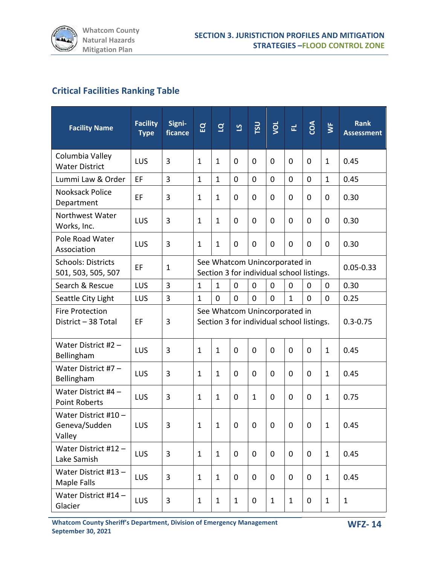

# **Critical Facilities Ranking Table**

| <b>Facility Name</b>                            | <b>Facility</b><br><b>Type</b> | Signi-<br>ficance | $\overline{a}$ | $\overline{a}$                                                             | $\overline{a}$ | LSU            | Joy            | 군              | COA            | $\overline{\mathsf{S}}$ | <b>Rank</b><br><b>Assessment</b> |
|-------------------------------------------------|--------------------------------|-------------------|----------------|----------------------------------------------------------------------------|----------------|----------------|----------------|----------------|----------------|-------------------------|----------------------------------|
| Columbia Valley<br><b>Water District</b>        | LUS                            | 3                 | 1              | $\mathbf{1}$                                                               | 0              | 0              | $\overline{0}$ | $\overline{0}$ | $\mathbf 0$    | $\mathbf{1}$            | 0.45                             |
| Lummi Law & Order                               | EF                             | 3                 | $\mathbf{1}$   | $\mathbf{1}$                                                               | $\mathbf 0$    | $\overline{0}$ | $\mathbf 0$    | $\overline{0}$ | $\overline{0}$ | $\mathbf{1}$            | 0.45                             |
| <b>Nooksack Police</b><br>Department            | EF                             | 3                 | 1              | $\mathbf{1}$                                                               | 0              | 0              | $\mathbf 0$    | $\overline{0}$ | $\overline{0}$ | $\mathbf 0$             | 0.30                             |
| Northwest Water<br>Works, Inc.                  | LUS                            | 3                 | 1              | 1                                                                          | 0              | 0              | $\mathbf 0$    | 0              | $\mathbf 0$    | $\mathbf 0$             | 0.30                             |
| Pole Road Water<br>Association                  | LUS                            | 3                 | $\mathbf{1}$   | $\mathbf 1$                                                                | 0              | 0              | 0              | 0              | $\mathbf 0$    | $\mathbf 0$             | 0.30                             |
| <b>Schools: Districts</b><br>501, 503, 505, 507 | EF                             | $\mathbf 1$       |                | See Whatcom Unincorporated in<br>Section 3 for individual school listings. |                |                |                |                |                |                         | $0.05 - 0.33$                    |
| Search & Rescue                                 | LUS                            | 3                 | $\mathbf{1}$   | $\mathbf{1}$                                                               | $\mathbf 0$    | $\overline{0}$ | $\overline{0}$ | $\overline{0}$ | $\overline{0}$ | 0                       | 0.30                             |
| Seattle City Light                              | LUS                            | 3                 | $\mathbf{1}$   | 0                                                                          | $\mathbf 0$    | 0              | 0              | $\mathbf{1}$   | $\overline{0}$ | $\mathbf 0$             | 0.25                             |
| <b>Fire Protection</b><br>District - 38 Total   | EF                             | 3                 |                | See Whatcom Unincorporated in<br>Section 3 for individual school listings. |                |                |                |                |                |                         | $0.3 - 0.75$                     |
| Water District $#2 -$<br>Bellingham             | LUS                            | 3                 | $\mathbf{1}$   | $\mathbf{1}$                                                               | $\mathbf 0$    | $\overline{0}$ | $\overline{0}$ | $\overline{0}$ | $\overline{0}$ | $\mathbf{1}$            | 0.45                             |
| Water District #7 -<br>Bellingham               | LUS                            | 3                 | $\mathbf{1}$   | $\mathbf{1}$                                                               | 0              | 0              | 0              | $\overline{0}$ | $\overline{0}$ | $\mathbf{1}$            | 0.45                             |
| Water District #4 -<br><b>Point Roberts</b>     | LUS                            | 3                 | $\mathbf{1}$   | $\mathbf{1}$                                                               | 0              | $\mathbf{1}$   | 0              | $\overline{0}$ | $\overline{0}$ | $\mathbf{1}$            | 0.75                             |
| Water District #10-<br>Geneva/Sudden<br>Valley  | LUS                            | 3                 | 1              | $\mathbf{1}$                                                               | $\mathbf{0}$   | $\mathbf{0}$   | $\mathbf 0$    | $\mathbf 0$    | $\mathbf 0$    | $\mathbf{1}$            | 0.45                             |
| Water District #12 -<br>Lake Samish             | LUS                            | 3                 | $\mathbf{1}$   | $\mathbf{1}$                                                               | 0              | $\mathbf 0$    | $\mathbf 0$    | 0              | $\mathbf 0$    | $\mathbf{1}$            | 0.45                             |
| Water District #13-<br>Maple Falls              | LUS                            | 3                 | $\mathbf{1}$   | $\mathbf{1}$                                                               | 0              | $\mathbf 0$    | $\mathbf 0$    | $\mathbf 0$    | $\mathbf 0$    | $\mathbf{1}$            | 0.45                             |
| Water District #14 -<br>Glacier                 | LUS                            | 3                 | $\mathbf{1}$   | $\mathbf{1}$                                                               | $\mathbf{1}$   | 0              | $\mathbf{1}$   | $\mathbf{1}$   | $\mathbf 0$    | $\mathbf{1}$            | $\mathbf{1}$                     |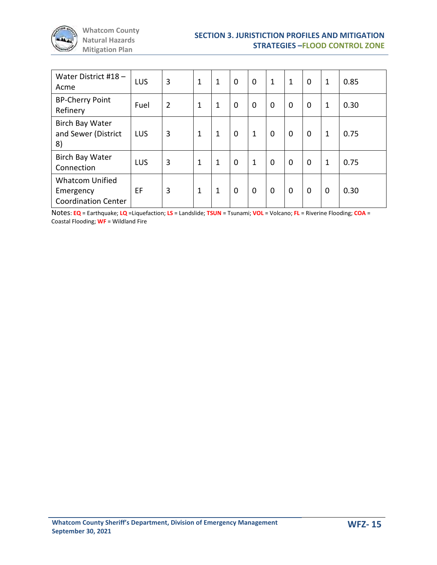

**Whatcom County Natural Hazards Mitigation Plan**

| Water District #18-<br>Acme                                       | LUS  | 3              | 1           | 1 | $\mathbf 0$ | 0           | 1           | 1           | 0 | 1           | 0.85 |
|-------------------------------------------------------------------|------|----------------|-------------|---|-------------|-------------|-------------|-------------|---|-------------|------|
| <b>BP-Cherry Point</b><br>Refinery                                | Fuel | $\overline{2}$ | 1           | 1 | $\mathbf 0$ | 0           | 0           | $\mathbf 0$ | 0 | $\mathbf 1$ | 0.30 |
| Birch Bay Water<br>and Sewer (District<br>8)                      | LUS  | 3              | $\mathbf 1$ | 1 | $\mathbf 0$ | $\mathbf 1$ | $\mathbf 0$ | $\mathbf 0$ | 0 | $\mathbf 1$ | 0.75 |
| <b>Birch Bay Water</b><br>Connection                              | LUS  | 3              | 1           | 1 | 0           | 1           | 0           | $\mathbf 0$ | 0 | $\mathbf 1$ | 0.75 |
| <b>Whatcom Unified</b><br>Emergency<br><b>Coordination Center</b> | EF   | 3              | 1           | 1 | $\mathbf 0$ | 0           | $\mathbf 0$ | $\mathbf 0$ | 0 | 0           | 0.30 |

Notes: **EQ** = Earthquake; **LQ** =Liquefaction; **LS** = Landslide; **TSUN** = Tsunami; **VOL** = Volcano; **FL** = Riverine Flooding; **COA** = Coastal Flooding; **WF** = Wildland Fire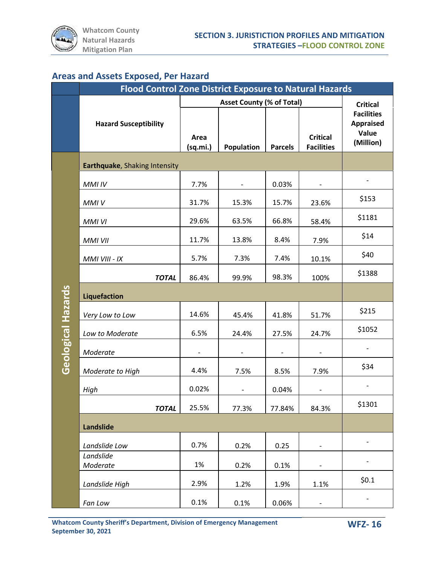

## **Areas and Assets Exposed, Per Hazard**

|                    | <b>Flood Control Zone District Exposure to Natural Hazards</b> |                          |                                  |                          |                                      |                                                             |  |  |  |  |  |  |
|--------------------|----------------------------------------------------------------|--------------------------|----------------------------------|--------------------------|--------------------------------------|-------------------------------------------------------------|--|--|--|--|--|--|
|                    |                                                                |                          | <b>Asset County (% of Total)</b> |                          |                                      | <b>Critical</b>                                             |  |  |  |  |  |  |
|                    | <b>Hazard Susceptibility</b>                                   |                          | <b>Population</b>                | <b>Parcels</b>           | <b>Critical</b><br><b>Facilities</b> | <b>Facilities</b><br><b>Appraised</b><br>Value<br>(Million) |  |  |  |  |  |  |
|                    | Earthquake, Shaking Intensity                                  |                          |                                  |                          |                                      |                                                             |  |  |  |  |  |  |
|                    | MMI IV                                                         | 7.7%                     |                                  | 0.03%                    |                                      |                                                             |  |  |  |  |  |  |
|                    | MMI V                                                          | 31.7%                    | 15.3%                            | 15.7%                    | 23.6%                                | \$153                                                       |  |  |  |  |  |  |
|                    | MMI VI                                                         | 29.6%                    | 63.5%                            | 66.8%                    | 58.4%                                | \$1181                                                      |  |  |  |  |  |  |
|                    | <b>MMI VII</b>                                                 | 11.7%                    | 13.8%                            | 8.4%                     | 7.9%                                 | \$14                                                        |  |  |  |  |  |  |
|                    | MMI VIII - IX                                                  | 5.7%                     | 7.3%                             | 7.4%                     | 10.1%                                | \$40                                                        |  |  |  |  |  |  |
|                    | <b>TOTAL</b>                                                   | 86.4%                    | 99.9%                            | 98.3%                    | 100%                                 | \$1388                                                      |  |  |  |  |  |  |
|                    | Liquefaction                                                   |                          |                                  |                          |                                      |                                                             |  |  |  |  |  |  |
|                    | Very Low to Low                                                | 14.6%                    | 45.4%                            | 41.8%                    | 51.7%                                | \$215                                                       |  |  |  |  |  |  |
|                    | Low to Moderate                                                | 6.5%                     | 24.4%                            | 27.5%                    | 24.7%                                | \$1052                                                      |  |  |  |  |  |  |
| Geological Hazards | Moderate                                                       | $\overline{\phantom{0}}$ |                                  | $\overline{\phantom{a}}$ |                                      | $\overline{\phantom{a}}$                                    |  |  |  |  |  |  |
|                    | Moderate to High                                               | 4.4%                     | 7.5%                             | 8.5%                     | 7.9%                                 | \$34                                                        |  |  |  |  |  |  |
|                    | High                                                           | 0.02%                    | $\qquad \qquad \blacksquare$     | 0.04%                    | $\qquad \qquad \blacksquare$         |                                                             |  |  |  |  |  |  |
|                    | <b>TOTAL</b>                                                   | 25.5%                    | 77.3%                            | 77.84%                   | 84.3%                                | \$1301                                                      |  |  |  |  |  |  |
|                    | Landslide                                                      |                          |                                  |                          |                                      |                                                             |  |  |  |  |  |  |
|                    | Landslide Low                                                  | 0.7%                     | 0.2%                             | 0.25                     | $\overline{\phantom{a}}$             |                                                             |  |  |  |  |  |  |
|                    | Landslide<br>Moderate                                          | 1%                       | 0.2%                             | 0.1%                     | $\overline{\phantom{a}}$             |                                                             |  |  |  |  |  |  |
|                    | Landslide High                                                 | 2.9%                     | 1.2%                             | 1.9%                     | 1.1%                                 | \$0.1                                                       |  |  |  |  |  |  |
|                    | Fan Low                                                        | 0.1%                     | 0.1%                             | 0.06%                    | $\qquad \qquad \blacksquare$         | $\qquad \qquad -$                                           |  |  |  |  |  |  |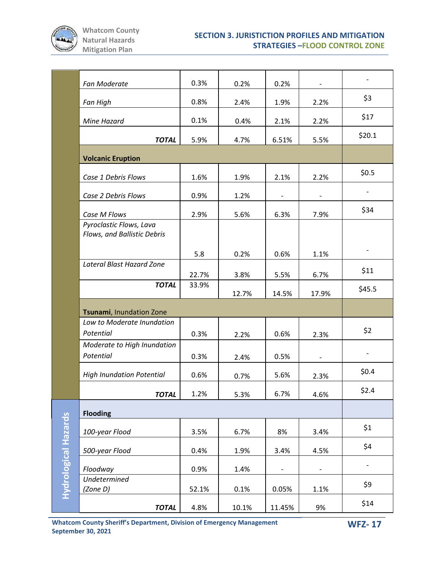

**Whatcom County Natural Hazards Mitigation Plan**

|                             | Fan Moderate                                           | 0.3%  | 0.2%  | 0.2%   | $\overline{\phantom{a}}$ |                          |
|-----------------------------|--------------------------------------------------------|-------|-------|--------|--------------------------|--------------------------|
|                             | Fan High                                               | 0.8%  | 2.4%  | 1.9%   | 2.2%                     | \$3                      |
|                             | Mine Hazard                                            | 0.1%  | 0.4%  | 2.1%   | 2.2%                     | \$17                     |
|                             | <b>TOTAL</b>                                           | 5.9%  | 4.7%  | 6.51%  | 5.5%                     | \$20.1                   |
|                             | <b>Volcanic Eruption</b>                               |       |       |        |                          |                          |
|                             | Case 1 Debris Flows                                    | 1.6%  | 1.9%  | 2.1%   | 2.2%                     | \$0.5                    |
|                             | Case 2 Debris Flows                                    | 0.9%  | 1.2%  |        |                          |                          |
|                             | Case M Flows                                           | 2.9%  | 5.6%  | 6.3%   | 7.9%                     | \$34                     |
|                             | Pyroclastic Flows, Lava<br>Flows, and Ballistic Debris |       |       |        |                          |                          |
|                             |                                                        | 5.8   | 0.2%  | 0.6%   | 1.1%                     | $\overline{\phantom{a}}$ |
|                             | <b>Lateral Blast Hazard Zone</b>                       | 22.7% | 3.8%  | 5.5%   | 6.7%                     | \$11                     |
|                             | <b>TOTAL</b>                                           | 33.9% | 12.7% | 14.5%  | 17.9%                    | \$45.5                   |
|                             | Tsunami, Inundation Zone                               |       |       |        |                          |                          |
|                             | Low to Moderate Inundation                             |       |       |        |                          |                          |
|                             | Potential                                              | 0.3%  | 2.2%  | 0.6%   | 2.3%                     | \$2                      |
|                             | Moderate to High Inundation<br>Potential               | 0.3%  | 2.4%  | 0.5%   | $\overline{\phantom{a}}$ |                          |
|                             | <b>High Inundation Potential</b>                       | 0.6%  | 0.7%  | 5.6%   | 2.3%                     | \$0.4                    |
|                             | <b>TOTAL</b>                                           | 1.2%  | 5.3%  | 6.7%   | 4.6%                     | \$2.4                    |
|                             | <b>Flooding</b>                                        |       |       |        |                          |                          |
|                             | 100-year Flood                                         | 3.5%  | 6.7%  | 8%     | 3.4%                     | \$1                      |
|                             | 500-year Flood                                         | 0.4%  | 1.9%  | 3.4%   | 4.5%                     | \$4                      |
|                             | Floodway                                               | 0.9%  | 1.4%  |        | $\qquad \qquad -$        |                          |
| <b>Hydrological Hazards</b> | Undetermined<br>(Zone D)                               | 52.1% | 0.1%  | 0.05%  | 1.1%                     | \$9                      |
|                             | <b>TOTAL</b>                                           | 4.8%  | 10.1% | 11.45% | 9%                       | \$14                     |
|                             |                                                        |       |       |        |                          |                          |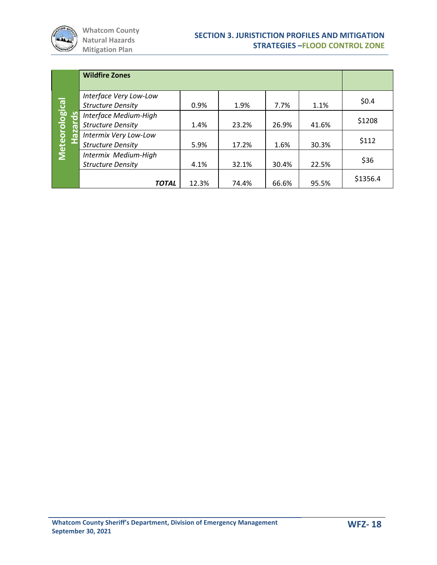

**Whatcom County Natural Hazards Mitigation Plan**

|                       | <b>Wildfire Zones</b>                              |       |       |       |       |          |
|-----------------------|----------------------------------------------------|-------|-------|-------|-------|----------|
|                       | Interface Very Low-Low<br><b>Structure Density</b> | 0.9%  | 1.9%  | 7.7%  | 1.1%  | \$0.4    |
| <b>Meteorological</b> | Interface Medium-High<br><b>Structure Density</b>  | 1.4%  | 23.2% | 26.9% | 41.6% | \$1208   |
|                       | Intermix Very Low-Low<br><b>Structure Density</b>  | 5.9%  | 17.2% | 1.6%  | 30.3% | \$112    |
|                       | Intermix Medium-High<br><b>Structure Density</b>   | 4.1%  | 32.1% | 30.4% | 22.5% | \$36     |
|                       | <b>TOTAL</b>                                       | 12.3% | 74.4% | 66.6% | 95.5% | \$1356.4 |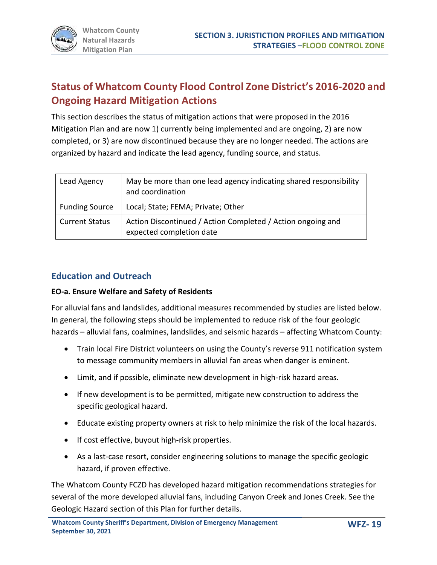# **Status of Whatcom County Flood Control Zone District's 2016-2020 and Ongoing Hazard Mitigation Actions**

This section describes the status of mitigation actions that were proposed in the 2016 Mitigation Plan and are now 1) currently being implemented and are ongoing, 2) are now completed, or 3) are now discontinued because they are no longer needed. The actions are organized by hazard and indicate the lead agency, funding source, and status.

| Lead Agency           | May be more than one lead agency indicating shared responsibility<br>and coordination   |
|-----------------------|-----------------------------------------------------------------------------------------|
| <b>Funding Source</b> | Local; State; FEMA; Private; Other                                                      |
| <b>Current Status</b> | Action Discontinued / Action Completed / Action ongoing and<br>expected completion date |

## **Education and Outreach**

#### **EO-a. Ensure Welfare and Safety of Residents**

For alluvial fans and landslides, additional measures recommended by studies are listed below. In general, the following steps should be implemented to reduce risk of the four geologic hazards – alluvial fans, coalmines, landslides, and seismic hazards – affecting Whatcom County:

- Train local Fire District volunteers on using the County's reverse 911 notification system to message community members in alluvial fan areas when danger is eminent.
- Limit, and if possible, eliminate new development in high-risk hazard areas.
- If new development is to be permitted, mitigate new construction to address the specific geological hazard.
- Educate existing property owners at risk to help minimize the risk of the local hazards.
- If cost effective, buyout high-risk properties.
- As a last-case resort, consider engineering solutions to manage the specific geologic hazard, if proven effective.

The Whatcom County FCZD has developed hazard mitigation recommendations strategies for several of the more developed alluvial fans, including Canyon Creek and Jones Creek. See the Geologic Hazard section of this Plan for further details.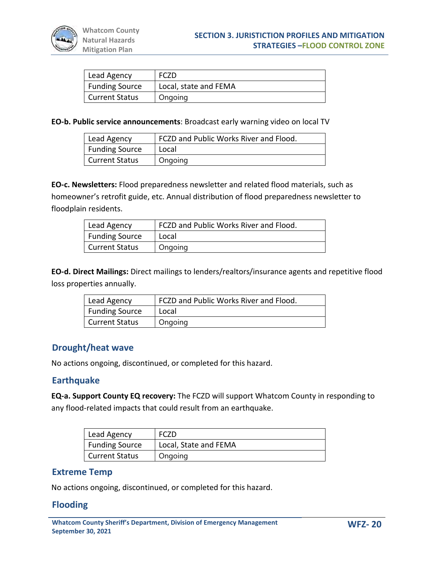

| Lead Agency           | FCZD                  |
|-----------------------|-----------------------|
| <b>Funding Source</b> | Local, state and FEMA |
| <b>Current Status</b> | Ongoing               |

**EO-b. Public service announcements**: Broadcast early warning video on local TV

| Lead Agency           | FCZD and Public Works River and Flood. |
|-----------------------|----------------------------------------|
| <b>Funding Source</b> | Local                                  |
| <b>Current Status</b> | Ongoing                                |

**EO-c. Newsletters:** Flood preparedness newsletter and related flood materials, such as homeowner's retrofit guide, etc. Annual distribution of flood preparedness newsletter to floodplain residents.

| Lead Agency           | FCZD and Public Works River and Flood. |
|-----------------------|----------------------------------------|
| Funding Source        | Local                                  |
| <b>Current Status</b> | Ongoing                                |

**EO-d. Direct Mailings:** Direct mailings to lenders/realtors/insurance agents and repetitive flood loss properties annually.

| Lead Agency           | FCZD and Public Works River and Flood. |
|-----------------------|----------------------------------------|
| <b>Funding Source</b> | Local                                  |
| <b>Current Status</b> | Ongoing                                |

### **Drought/heat wave**

No actions ongoing, discontinued, or completed for this hazard.

#### **Earthquake**

**EQ-a. Support County EQ recovery:** The FCZD will support Whatcom County in responding to any flood-related impacts that could result from an earthquake.

| Lead Agency           | <b>FCZD</b>           |
|-----------------------|-----------------------|
| <b>Funding Source</b> | Local, State and FEMA |
| <b>Current Status</b> | Ongoing               |

#### **Extreme Temp**

No actions ongoing, discontinued, or completed for this hazard.

### **Flooding**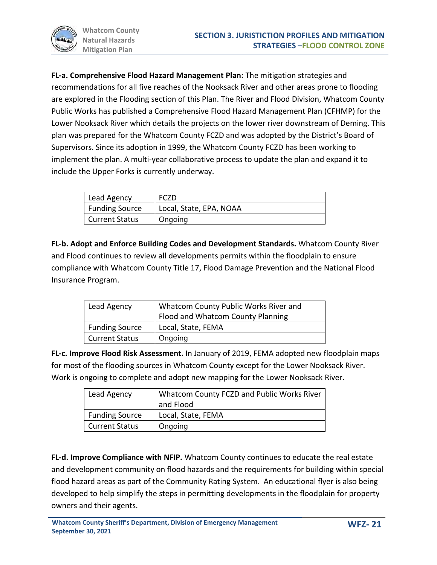

**FL-a. Comprehensive Flood Hazard Management Plan:** The mitigation strategies and recommendations for all five reaches of the Nooksack River and other areas prone to flooding are explored in the Flooding section of this Plan. The River and Flood Division, Whatcom County Public Works has published a Comprehensive Flood Hazard Management Plan (CFHMP) for the Lower Nooksack River which details the projects on the lower river downstream of Deming. This plan was prepared for the Whatcom County FCZD and was adopted by the District's Board of Supervisors. Since its adoption in 1999, the Whatcom County FCZD has been working to implement the plan. A multi-year collaborative process to update the plan and expand it to include the Upper Forks is currently underway.

| Lead Agency           | <b>FCZD</b>             |
|-----------------------|-------------------------|
| <b>Funding Source</b> | Local, State, EPA, NOAA |
| <b>Current Status</b> | Ongoing                 |

**FL-b. Adopt and Enforce Building Codes and Development Standards.** Whatcom County River and Flood continues to review all developments permits within the floodplain to ensure compliance with Whatcom County Title 17, Flood Damage Prevention and the National Flood Insurance Program.

| Lead Agency           | Whatcom County Public Works River and |
|-----------------------|---------------------------------------|
|                       | Flood and Whatcom County Planning     |
| <b>Funding Source</b> | Local, State, FEMA                    |
| <b>Current Status</b> | Ongoing                               |

**FL-c. Improve Flood Risk Assessment.** In January of 2019, FEMA adopted new floodplain maps for most of the flooding sources in Whatcom County except for the Lower Nooksack River. Work is ongoing to complete and adopt new mapping for the Lower Nooksack River.

| Lead Agency           | Whatcom County FCZD and Public Works River<br>and Flood |
|-----------------------|---------------------------------------------------------|
| <b>Funding Source</b> | Local, State, FEMA                                      |
| <b>Current Status</b> | Ongoing                                                 |

**FL-d. Improve Compliance with NFIP.** Whatcom County continues to educate the real estate and development community on flood hazards and the requirements for building within special flood hazard areas as part of the Community Rating System. An educational flyer is also being developed to help simplify the steps in permitting developments in the floodplain for property owners and their agents.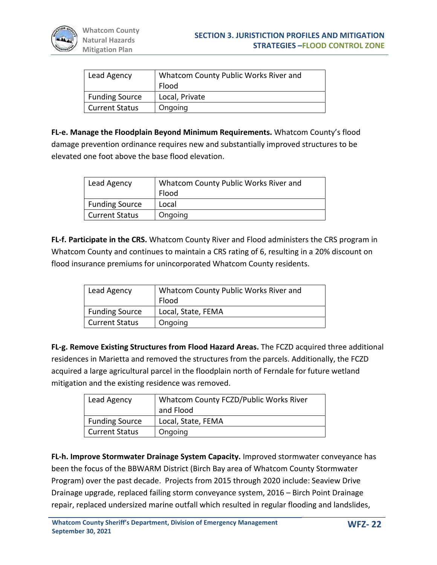

| Whatcom County Public Works River and<br>Lead Agency |                |
|------------------------------------------------------|----------------|
|                                                      | Flood          |
| <b>Funding Source</b>                                | Local, Private |
| <b>Current Status</b>                                | Ongoing        |

**FL-e. Manage the Floodplain Beyond Minimum Requirements.** Whatcom County's flood damage prevention ordinance requires new and substantially improved structures to be elevated one foot above the base flood elevation.

| Lead Agency           | Whatcom County Public Works River and |
|-----------------------|---------------------------------------|
|                       | Flood                                 |
| <b>Funding Source</b> | Local                                 |
| <b>Current Status</b> | Ongoing                               |

**FL-f. Participate in the CRS.** Whatcom County River and Flood administers the CRS program in Whatcom County and continues to maintain a CRS rating of 6, resulting in a 20% discount on flood insurance premiums for unincorporated Whatcom County residents.

| Lead Agency           | Whatcom County Public Works River and |
|-----------------------|---------------------------------------|
|                       | Flood                                 |
| <b>Funding Source</b> | Local, State, FEMA                    |
| <b>Current Status</b> | Ongoing                               |

**FL-g. Remove Existing Structures from Flood Hazard Areas.** The FCZD acquired three additional residences in Marietta and removed the structures from the parcels. Additionally, the FCZD acquired a large agricultural parcel in the floodplain north of Ferndale for future wetland mitigation and the existing residence was removed.

| Lead Agency           | Whatcom County FCZD/Public Works River<br>and Flood |
|-----------------------|-----------------------------------------------------|
| <b>Funding Source</b> | Local, State, FEMA                                  |
| <b>Current Status</b> | Ongoing                                             |

**FL-h. Improve Stormwater Drainage System Capacity.** Improved stormwater conveyance has been the focus of the BBWARM District (Birch Bay area of Whatcom County Stormwater Program) over the past decade. Projects from 2015 through 2020 include: Seaview Drive Drainage upgrade, replaced failing storm conveyance system, 2016 – Birch Point Drainage repair, replaced undersized marine outfall which resulted in regular flooding and landslides,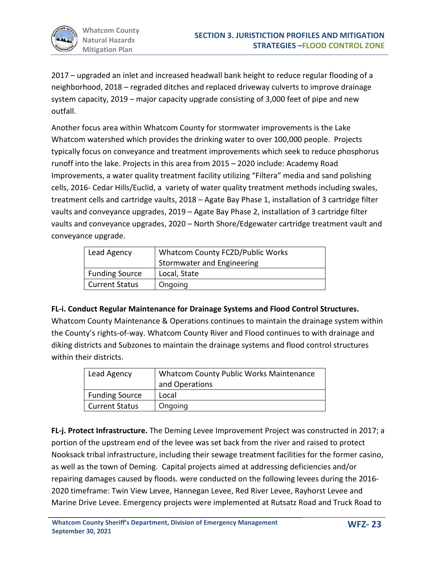2017 – upgraded an inlet and increased headwall bank height to reduce regular flooding of a neighborhood, 2018 – regraded ditches and replaced driveway culverts to improve drainage system capacity, 2019 – major capacity upgrade consisting of 3,000 feet of pipe and new outfall.

Another focus area within Whatcom County for stormwater improvements is the Lake Whatcom watershed which provides the drinking water to over 100,000 people. Projects typically focus on conveyance and treatment improvements which seek to reduce phosphorus runoff into the lake. Projects in this area from 2015 – 2020 include: Academy Road Improvements, a water quality treatment facility utilizing "Filtera" media and sand polishing cells, 2016- Cedar Hills/Euclid, a variety of water quality treatment methods including swales, treatment cells and cartridge vaults, 2018 – Agate Bay Phase 1, installation of 3 cartridge filter vaults and conveyance upgrades, 2019 – Agate Bay Phase 2, installation of 3 cartridge filter vaults and conveyance upgrades, 2020 – North Shore/Edgewater cartridge treatment vault and conveyance upgrade.

| Lead Agency           | Whatcom County FCZD/Public Works |
|-----------------------|----------------------------------|
|                       | Stormwater and Engineering       |
| <b>Funding Source</b> | Local, State                     |
| <b>Current Status</b> | Ongoing                          |

#### **FL-i. Conduct Regular Maintenance for Drainage Systems and Flood Control Structures.**

Whatcom County Maintenance & Operations continues to maintain the drainage system within the County's rights-of-way. Whatcom County River and Flood continues to with drainage and diking districts and Subzones to maintain the drainage systems and flood control structures within their districts.

| Lead Agency           | Whatcom County Public Works Maintenance |
|-----------------------|-----------------------------------------|
|                       | and Operations                          |
| <b>Funding Source</b> | Local                                   |
| <b>Current Status</b> | Ongoing                                 |

**FL-j. Protect Infrastructure.** The Deming Levee Improvement Project was constructed in 2017; a portion of the upstream end of the levee was set back from the river and raised to protect Nooksack tribal infrastructure, including their sewage treatment facilities for the former casino, as well as the town of Deming. Capital projects aimed at addressing deficiencies and/or repairing damages caused by floods. were conducted on the following levees during the 2016- 2020 timeframe: Twin View Levee, Hannegan Levee, Red River Levee, Rayhorst Levee and Marine Drive Levee. Emergency projects were implemented at Rutsatz Road and Truck Road to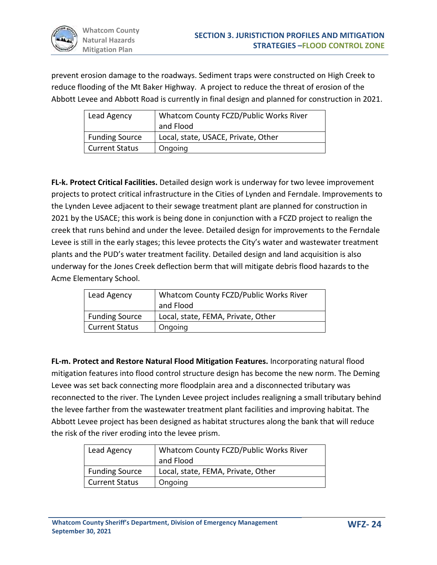prevent erosion damage to the roadways. Sediment traps were constructed on High Creek to reduce flooding of the Mt Baker Highway. A project to reduce the threat of erosion of the Abbott Levee and Abbott Road is currently in final design and planned for construction in 2021.

| Lead Agency           | Whatcom County FCZD/Public Works River |
|-----------------------|----------------------------------------|
|                       | and Flood                              |
| <b>Funding Source</b> | Local, state, USACE, Private, Other    |
| <b>Current Status</b> | Ongoing                                |

**FL-k. Protect Critical Facilities.** Detailed design work is underway for two levee improvement projects to protect critical infrastructure in the Cities of Lynden and Ferndale. Improvements to the Lynden Levee adjacent to their sewage treatment plant are planned for construction in 2021 by the USACE; this work is being done in conjunction with a FCZD project to realign the creek that runs behind and under the levee. Detailed design for improvements to the Ferndale Levee is still in the early stages; this levee protects the City's water and wastewater treatment plants and the PUD's water treatment facility. Detailed design and land acquisition is also underway for the Jones Creek deflection berm that will mitigate debris flood hazards to the Acme Elementary School.

| Lead Agency           | Whatcom County FCZD/Public Works River<br>and Flood |
|-----------------------|-----------------------------------------------------|
| <b>Funding Source</b> | Local, state, FEMA, Private, Other                  |
| <b>Current Status</b> | Ongoing                                             |

**FL-m. Protect and Restore Natural Flood Mitigation Features.** Incorporating natural flood mitigation features into flood control structure design has become the new norm. The Deming Levee was set back connecting more floodplain area and a disconnected tributary was reconnected to the river. The Lynden Levee project includes realigning a small tributary behind the levee farther from the wastewater treatment plant facilities and improving habitat. The Abbott Levee project has been designed as habitat structures along the bank that will reduce the risk of the river eroding into the levee prism.

| Lead Agency           | Whatcom County FCZD/Public Works River<br>and Flood |
|-----------------------|-----------------------------------------------------|
| <b>Funding Source</b> | Local, state, FEMA, Private, Other                  |
| <b>Current Status</b> | Ongoing                                             |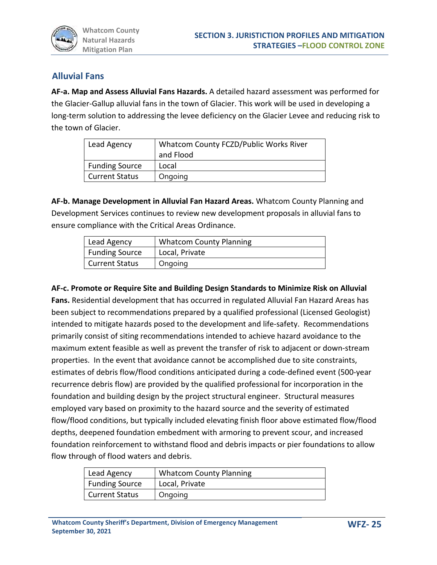

### **Alluvial Fans**

**AF-a. Map and Assess Alluvial Fans Hazards.** A detailed hazard assessment was performed for the Glacier-Gallup alluvial fans in the town of Glacier. This work will be used in developing a long-term solution to addressing the levee deficiency on the Glacier Levee and reducing risk to the town of Glacier.

| Lead Agency           | Whatcom County FCZD/Public Works River<br>and Flood |
|-----------------------|-----------------------------------------------------|
| <b>Funding Source</b> | Local                                               |
| <b>Current Status</b> | Ongoing                                             |

**AF-b. Manage Development in Alluvial Fan Hazard Areas.** Whatcom County Planning and Development Services continues to review new development proposals in alluvial fans to ensure compliance with the Critical Areas Ordinance.

| Lead Agency           | <b>Whatcom County Planning</b> |
|-----------------------|--------------------------------|
| <b>Funding Source</b> | Local, Private                 |
| <b>Current Status</b> | Ongoing                        |

**AF-c. Promote or Require Site and Building Design Standards to Minimize Risk on Alluvial** 

**Fans.** Residential development that has occurred in regulated Alluvial Fan Hazard Areas has been subject to recommendations prepared by a qualified professional (Licensed Geologist) intended to mitigate hazards posed to the development and life-safety. Recommendations primarily consist of siting recommendations intended to achieve hazard avoidance to the maximum extent feasible as well as prevent the transfer of risk to adjacent or down-stream properties. In the event that avoidance cannot be accomplished due to site constraints, estimates of debris flow/flood conditions anticipated during a code-defined event (500-year recurrence debris flow) are provided by the qualified professional for incorporation in the foundation and building design by the project structural engineer. Structural measures employed vary based on proximity to the hazard source and the severity of estimated flow/flood conditions, but typically included elevating finish floor above estimated flow/flood depths, deepened foundation embedment with armoring to prevent scour, and increased foundation reinforcement to withstand flood and debris impacts or pier foundations to allow flow through of flood waters and debris.

| Lead Agency           | Whatcom County Planning |
|-----------------------|-------------------------|
| <b>Funding Source</b> | Local, Private          |
| <b>Current Status</b> | Ongoing                 |
|                       |                         |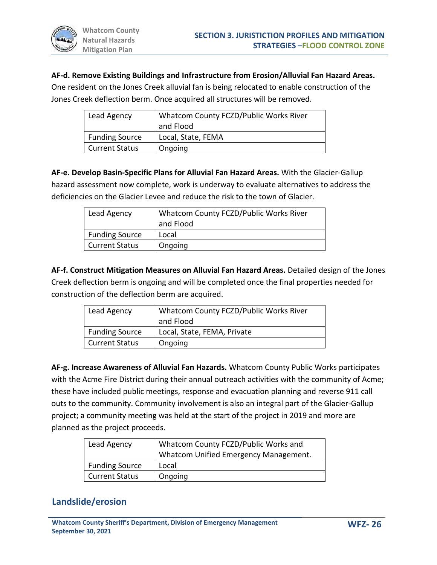#### **AF-d. Remove Existing Buildings and Infrastructure from Erosion/Alluvial Fan Hazard Areas.**

One resident on the Jones Creek alluvial fan is being relocated to enable construction of the Jones Creek deflection berm. Once acquired all structures will be removed.

| Lead Agency           | Whatcom County FCZD/Public Works River |
|-----------------------|----------------------------------------|
|                       | and Flood                              |
| <b>Funding Source</b> | Local, State, FEMA                     |
| <b>Current Status</b> | Ongoing                                |

**AF-e. Develop Basin-Specific Plans for Alluvial Fan Hazard Areas.** With the Glacier-Gallup hazard assessment now complete, work is underway to evaluate alternatives to address the deficiencies on the Glacier Levee and reduce the risk to the town of Glacier.

| Lead Agency           | Whatcom County FCZD/Public Works River<br>and Flood |
|-----------------------|-----------------------------------------------------|
| <b>Funding Source</b> | Local                                               |
| <b>Current Status</b> | Ongoing                                             |

**AF-f. Construct Mitigation Measures on Alluvial Fan Hazard Areas.** Detailed design of the Jones Creek deflection berm is ongoing and will be completed once the final properties needed for construction of the deflection berm are acquired.

| Lead Agency           | Whatcom County FCZD/Public Works River |  |  |  |  |
|-----------------------|----------------------------------------|--|--|--|--|
|                       | and Flood                              |  |  |  |  |
| <b>Funding Source</b> | Local, State, FEMA, Private            |  |  |  |  |
| <b>Current Status</b> | Ongoing                                |  |  |  |  |

**AF-g. Increase Awareness of Alluvial Fan Hazards.** Whatcom County Public Works participates with the Acme Fire District during their annual outreach activities with the community of Acme; these have included public meetings, response and evacuation planning and reverse 911 call outs to the community. Community involvement is also an integral part of the Glacier-Gallup project; a community meeting was held at the start of the project in 2019 and more are planned as the project proceeds.

| Lead Agency           | Whatcom County FCZD/Public Works and  |  |  |  |  |  |  |
|-----------------------|---------------------------------------|--|--|--|--|--|--|
|                       | Whatcom Unified Emergency Management. |  |  |  |  |  |  |
| <b>Funding Source</b> | Local                                 |  |  |  |  |  |  |
| <b>Current Status</b> | Ongoing                               |  |  |  |  |  |  |

## **Landslide/erosion**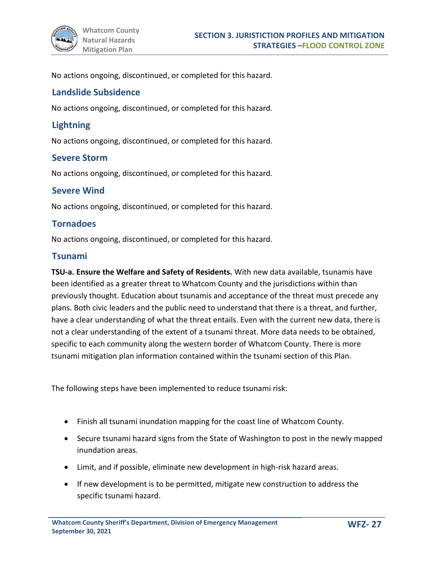

No actions ongoing, discontinued, or completed for this hazard.

#### **Landslide Subsidence**

No actions ongoing, discontinued, or completed for this hazard.

#### **Lightning**

No actions ongoing, discontinued, or completed for this hazard.

#### **Severe Storm**

No actions ongoing, discontinued, or completed for this hazard.

#### **Severe Wind**

No actions ongoing, discontinued, or completed for this hazard.

#### **Tornadoes**

No actions ongoing, discontinued, or completed for this hazard.

#### **Tsunami**

**TSU-a. Ensure the Welfare and Safety of Residents.** With new data available, tsunamis have been identified as a greater threat to Whatcom County and the jurisdictions within than previously thought. Education about tsunamis and acceptance of the threat must precede any plans. Both civic leaders and the public need to understand that there is a threat, and further, have a clear understanding of what the threat entails. Even with the current new data, there is not a clear understanding of the extent of a tsunami threat. More data needs to be obtained, specific to each community along the western border of Whatcom County. There is more tsunami mitigation plan information contained within the tsunami section of this Plan.

The following steps have been implemented to reduce tsunami risk:

- Finish all tsunami inundation mapping for the coast line of Whatcom County.
- Secure tsunami hazard signs from the State of Washington to post in the newly mapped inundation areas.
- Limit, and if possible, eliminate new development in high-risk hazard areas.
- If new development is to be permitted, mitigate new construction to address the specific tsunami hazard.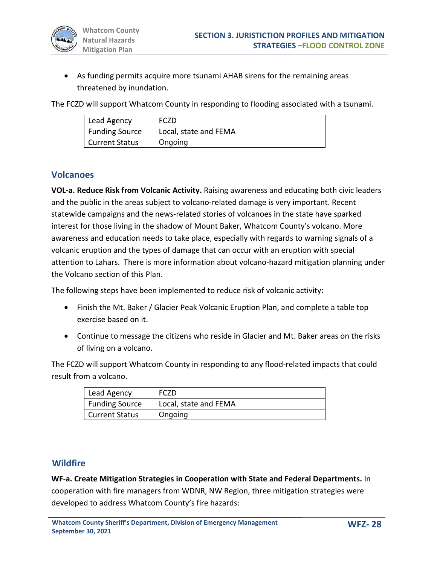

• As funding permits acquire more tsunami AHAB sirens for the remaining areas threatened by inundation.

The FCZD will support Whatcom County in responding to flooding associated with a tsunami.

| Lead Agency           | <b>FCZD</b>           |
|-----------------------|-----------------------|
| <b>Funding Source</b> | Local, state and FEMA |
| <b>Current Status</b> | Ongoing               |

#### **Volcanoes**

**VOL-a. Reduce Risk from Volcanic Activity.** Raising awareness and educating both civic leaders and the public in the areas subject to volcano-related damage is very important. Recent statewide campaigns and the news-related stories of volcanoes in the state have sparked interest for those living in the shadow of Mount Baker, Whatcom County's volcano. More awareness and education needs to take place, especially with regards to warning signals of a volcanic eruption and the types of damage that can occur with an eruption with special attention to Lahars. There is more information about volcano-hazard mitigation planning under the Volcano section of this Plan.

The following steps have been implemented to reduce risk of volcanic activity:

- Finish the Mt. Baker / Glacier Peak Volcanic Eruption Plan, and complete a table top exercise based on it.
- Continue to message the citizens who reside in Glacier and Mt. Baker areas on the risks of living on a volcano.

The FCZD will support Whatcom County in responding to any flood-related impacts that could result from a volcano.

| Lead Agency           | FCZD                  |
|-----------------------|-----------------------|
| <b>Funding Source</b> | Local, state and FEMA |
| <b>Current Status</b> | Ongoing               |

### **Wildfire**

**WF-a. Create Mitigation Strategies in Cooperation with State and Federal Departments.** In cooperation with fire managers from WDNR, NW Region, three mitigation strategies were developed to address Whatcom County's fire hazards: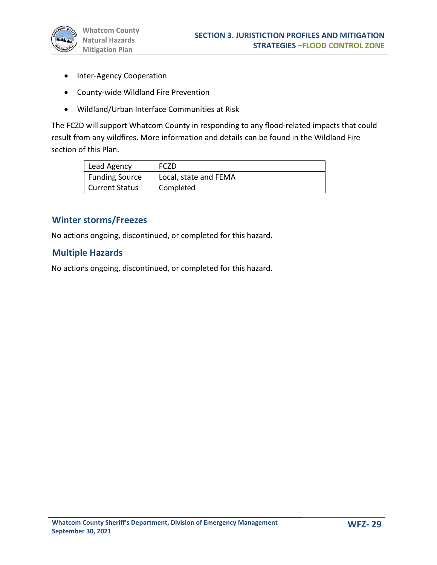

- Inter-Agency Cooperation
- County-wide Wildland Fire Prevention
- Wildland/Urban Interface Communities at Risk

The FCZD will support Whatcom County in responding to any flood-related impacts that could result from any wildfires. More information and details can be found in the Wildland Fire section of this Plan.

| Lead Agency           | FCZD                  |
|-----------------------|-----------------------|
| <b>Funding Source</b> | Local, state and FEMA |
| Current Status        | Completed             |

### **Winter storms/Freezes**

No actions ongoing, discontinued, or completed for this hazard.

#### **Multiple Hazards**

No actions ongoing, discontinued, or completed for this hazard.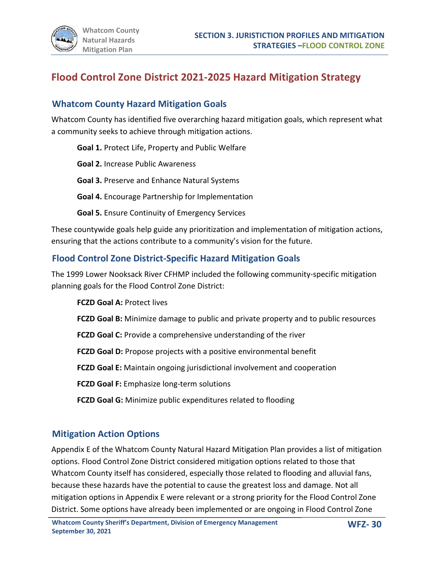# **Flood Control Zone District 2021-2025 Hazard Mitigation Strategy**

## **Whatcom County Hazard Mitigation Goals**

Whatcom County has identified five overarching hazard mitigation goals, which represent what a community seeks to achieve through mitigation actions.

**Goal 1.** Protect Life, Property and Public Welfare

**Goal 2.** Increase Public Awareness

**Goal 3.** Preserve and Enhance Natural Systems

**Goal 4.** Encourage Partnership for Implementation

**Goal 5.** Ensure Continuity of Emergency Services

These countywide goals help guide any prioritization and implementation of mitigation actions, ensuring that the actions contribute to a community's vision for the future.

## **Flood Control Zone District-Specific Hazard Mitigation Goals**

The 1999 Lower Nooksack River CFHMP included the following community-specific mitigation planning goals for the Flood Control Zone District:

**FCZD Goal A:** Protect lives

**FCZD Goal B:** Minimize damage to public and private property and to public resources

**FCZD Goal C:** Provide a comprehensive understanding of the river

**FCZD Goal D:** Propose projects with a positive environmental benefit

**FCZD Goal E:** Maintain ongoing jurisdictional involvement and cooperation

**FCZD Goal F:** Emphasize long-term solutions

**FCZD Goal G:** Minimize public expenditures related to flooding

### **Mitigation Action Options**

Appendix E of the Whatcom County Natural Hazard Mitigation Plan provides a list of mitigation options. Flood Control Zone District considered mitigation options related to those that Whatcom County itself has considered, especially those related to flooding and alluvial fans, because these hazards have the potential to cause the greatest loss and damage. Not all mitigation options in Appendix E were relevant or a strong priority for the Flood Control Zone District. Some options have already been implemented or are ongoing in Flood Control Zone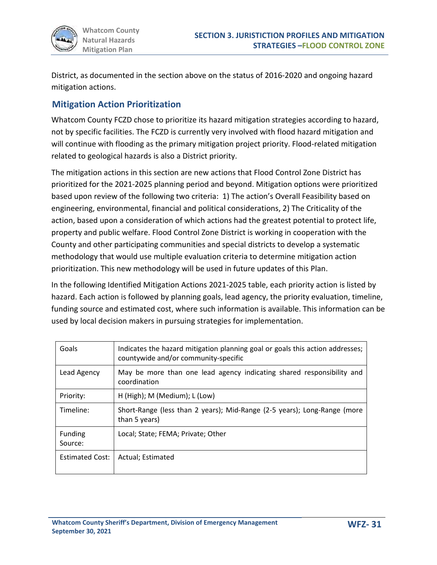

District, as documented in the section above on the status of 2016-2020 and ongoing hazard mitigation actions.

### **Mitigation Action Prioritization**

Whatcom County FCZD chose to prioritize its hazard mitigation strategies according to hazard, not by specific facilities. The FCZD is currently very involved with flood hazard mitigation and will continue with flooding as the primary mitigation project priority. Flood-related mitigation related to geological hazards is also a District priority.

The mitigation actions in this section are new actions that Flood Control Zone District has prioritized for the 2021-2025 planning period and beyond. Mitigation options were prioritized based upon review of the following two criteria: 1) The action's Overall Feasibility based on engineering, environmental, financial and political considerations, 2) The Criticality of the action, based upon a consideration of which actions had the greatest potential to protect life, property and public welfare. Flood Control Zone District is working in cooperation with the County and other participating communities and special districts to develop a systematic methodology that would use multiple evaluation criteria to determine mitigation action prioritization. This new methodology will be used in future updates of this Plan.

In the following Identified Mitigation Actions 2021-2025 table, each priority action is listed by hazard. Each action is followed by planning goals, lead agency, the priority evaluation, timeline, funding source and estimated cost, where such information is available. This information can be used by local decision makers in pursuing strategies for implementation.

| Goals                     | Indicates the hazard mitigation planning goal or goals this action addresses;<br>countywide and/or community-specific |
|---------------------------|-----------------------------------------------------------------------------------------------------------------------|
| Lead Agency               | May be more than one lead agency indicating shared responsibility and<br>coordination                                 |
| Priority:                 | H (High); M (Medium); L (Low)                                                                                         |
| Timeline:                 | Short-Range (less than 2 years); Mid-Range (2-5 years); Long-Range (more<br>than 5 years)                             |
| <b>Funding</b><br>Source: | Local; State; FEMA; Private; Other                                                                                    |
| <b>Estimated Cost:</b>    | Actual; Estimated                                                                                                     |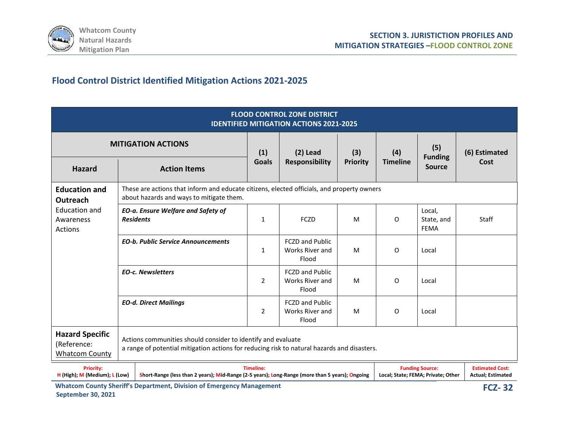

# **Flood Control District Identified Mitigation Actions 2021-2025**

| <b>FLOOD CONTROL ZONE DISTRICT</b><br><b>IDENTIFIED MITIGATION ACTIONS 2021-2025</b> |                  |                                                                                                                                                             |                  |                                                    |                 |                 |                                                              |                                                    |
|--------------------------------------------------------------------------------------|------------------|-------------------------------------------------------------------------------------------------------------------------------------------------------------|------------------|----------------------------------------------------|-----------------|-----------------|--------------------------------------------------------------|----------------------------------------------------|
| <b>MITIGATION ACTIONS</b>                                                            |                  | (1)                                                                                                                                                         | $(2)$ Lead       | (3)                                                | (4)             | (5)             | (6) Estimated                                                |                                                    |
| <b>Hazard</b>                                                                        |                  | <b>Action Items</b>                                                                                                                                         | <b>Goals</b>     | <b>Responsibility</b>                              | <b>Priority</b> | <b>Timeline</b> | <b>Funding</b><br><b>Source</b>                              | Cost                                               |
| <b>Education and</b><br><b>Outreach</b>                                              |                  | These are actions that inform and educate citizens, elected officials, and property owners<br>about hazards and ways to mitigate them.                      |                  |                                                    |                 |                 |                                                              |                                                    |
| <b>Education and</b><br>Awareness<br>Actions                                         | <b>Residents</b> | EO-a. Ensure Welfare and Safety of                                                                                                                          | 1                | <b>FCZD</b>                                        | M               | O               | Local,<br>State, and<br><b>FEMA</b>                          | <b>Staff</b>                                       |
|                                                                                      |                  | <b>EO-b. Public Service Announcements</b>                                                                                                                   | 1                | <b>FCZD and Public</b><br>Works River and<br>Flood | M               | O               | Local                                                        |                                                    |
|                                                                                      |                  | <b>EO-c. Newsletters</b>                                                                                                                                    | 2                | <b>FCZD and Public</b><br>Works River and<br>Flood | M               | O               | Local                                                        |                                                    |
|                                                                                      |                  | <b>EO-d. Direct Mailings</b>                                                                                                                                | 2                | <b>FCZD and Public</b><br>Works River and<br>Flood | M               | O               | Local                                                        |                                                    |
| <b>Hazard Specific</b><br>(Reference:<br><b>Whatcom County</b>                       |                  | Actions communities should consider to identify and evaluate<br>a range of potential mitigation actions for reducing risk to natural hazards and disasters. |                  |                                                    |                 |                 |                                                              |                                                    |
| <b>Priority:</b><br>H (High); M (Medium); L (Low)                                    |                  | Short-Range (less than 2 years); Mid-Range (2-5 years); Long-Range (more than 5 years); Ongoing                                                             | <b>Timeline:</b> |                                                    |                 |                 | <b>Funding Source:</b><br>Local; State; FEMA; Private; Other | <b>Estimated Cost:</b><br><b>Actual; Estimated</b> |
|                                                                                      |                  | <b>Whatcom County Sheriff's Department, Division of Emergency Management</b>                                                                                |                  |                                                    |                 |                 |                                                              | <b>FCZ-32</b>                                      |

 **September 30, 2021**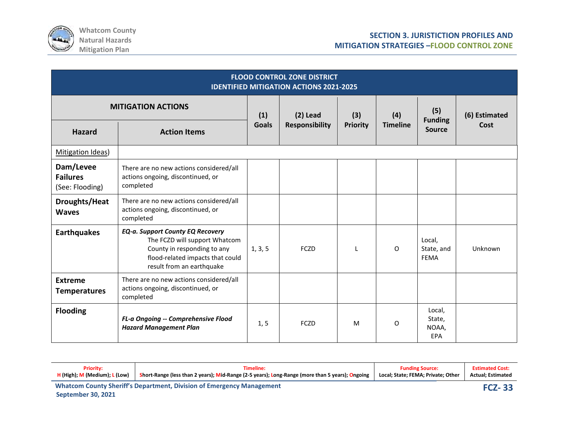

| <b>FLOOD CONTROL ZONE DISTRICT</b><br><b>IDENTIFIED MITIGATION ACTIONS 2021-2025</b> |                                                                                                                                                                   |              |                       |                 |                 |                                     |               |  |
|--------------------------------------------------------------------------------------|-------------------------------------------------------------------------------------------------------------------------------------------------------------------|--------------|-----------------------|-----------------|-----------------|-------------------------------------|---------------|--|
| <b>MITIGATION ACTIONS</b>                                                            |                                                                                                                                                                   | (1)          | $(2)$ Lead            | (3)             | (4)             | (5)                                 | (6) Estimated |  |
| <b>Hazard</b>                                                                        | <b>Action Items</b>                                                                                                                                               | <b>Goals</b> | <b>Responsibility</b> | <b>Priority</b> | <b>Timeline</b> | <b>Funding</b><br><b>Source</b>     | Cost          |  |
| Mitigation Ideas)                                                                    |                                                                                                                                                                   |              |                       |                 |                 |                                     |               |  |
| Dam/Levee<br><b>Failures</b><br>(See: Flooding)                                      | There are no new actions considered/all<br>actions ongoing, discontinued, or<br>completed                                                                         |              |                       |                 |                 |                                     |               |  |
| Droughts/Heat<br><b>Waves</b>                                                        | There are no new actions considered/all<br>actions ongoing, discontinued, or<br>completed                                                                         |              |                       |                 |                 |                                     |               |  |
| <b>Earthquakes</b>                                                                   | EQ-a. Support County EQ Recovery<br>The FCZD will support Whatcom<br>County in responding to any<br>flood-related impacts that could<br>result from an earthquake | 1, 3, 5      | <b>FCZD</b>           |                 | $\Omega$        | Local,<br>State, and<br><b>FEMA</b> | Unknown       |  |
| <b>Extreme</b><br><b>Temperatures</b>                                                | There are no new actions considered/all<br>actions ongoing, discontinued, or<br>completed                                                                         |              |                       |                 |                 |                                     |               |  |
| <b>Flooding</b>                                                                      | FL-a Ongoing -- Comprehensive Flood<br><b>Hazard Management Plan</b>                                                                                              | 1, 5         | <b>FCZD</b>           | M               | O               | Local,<br>State,<br>NOAA,<br>EPA    |               |  |

| <b>Priority:</b>              | Timeline:                                                                                       | <b>Funding Source:</b>             | <b>Estimated Cost:</b>    |
|-------------------------------|-------------------------------------------------------------------------------------------------|------------------------------------|---------------------------|
| H (High); M (Medium); L (Low) | Short-Range (less than 2 years); Mid-Range (2-5 years); Long-Range (more than 5 years); Ongoing | Local; State; FEMA; Private; Other | <b>Actual</b> ; Estimated |
| September 30, 2021            | Whatcom County Sheriff's Department, Division of Emergency Management                           |                                    | <b>FCZ-33</b>             |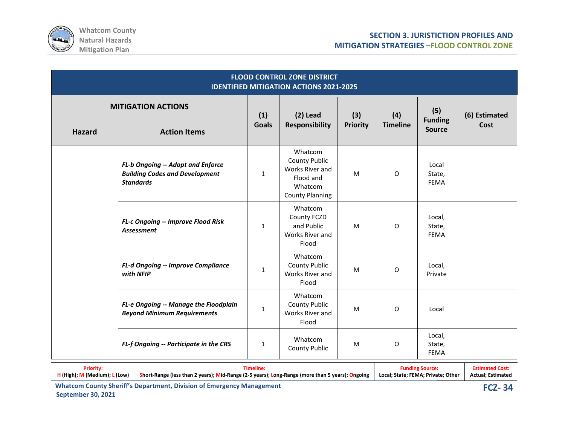

|                           | <b>FLOOD CONTROL ZONE DISTRICT</b><br><b>IDENTIFIED MITIGATION ACTIONS 2021-2025</b> |                                                                                                |                  |                                                                                                      |                 |                       |                                 |                        |  |
|---------------------------|--------------------------------------------------------------------------------------|------------------------------------------------------------------------------------------------|------------------|------------------------------------------------------------------------------------------------------|-----------------|-----------------------|---------------------------------|------------------------|--|
| <b>MITIGATION ACTIONS</b> |                                                                                      | (1)                                                                                            | $(2)$ Lead       | (3)                                                                                                  | (4)             | (5)<br><b>Funding</b> | (6) Estimated                   |                        |  |
| <b>Hazard</b>             |                                                                                      | <b>Action Items</b>                                                                            | <b>Goals</b>     | <b>Responsibility</b>                                                                                | <b>Priority</b> | <b>Timeline</b>       | <b>Source</b>                   | Cost                   |  |
|                           |                                                                                      | FL-b Ongoing -- Adopt and Enforce<br><b>Building Codes and Development</b><br><b>Standards</b> | $\mathbf{1}$     | Whatcom<br><b>County Public</b><br>Works River and<br>Flood and<br>Whatcom<br><b>County Planning</b> | M               | O                     | Local<br>State,<br><b>FEMA</b>  |                        |  |
|                           |                                                                                      | FL-c Ongoing -- Improve Flood Risk<br>Assessment                                               | $\mathbf{1}$     | Whatcom<br>County FCZD<br>and Public<br>Works River and<br>Flood                                     | M               | O                     | Local,<br>State,<br><b>FEMA</b> |                        |  |
|                           |                                                                                      | FL-d Ongoing -- Improve Compliance<br>with NFIP                                                | $\mathbf{1}$     | Whatcom<br><b>County Public</b><br>Works River and<br>Flood                                          | M               | O                     | Local,<br>Private               |                        |  |
|                           |                                                                                      | FL-e Ongoing -- Manage the Floodplain<br><b>Beyond Minimum Requirements</b>                    | $\mathbf{1}$     | Whatcom<br><b>County Public</b><br>Works River and<br>Flood                                          | M               | O                     | Local                           |                        |  |
|                           |                                                                                      | FL-f Ongoing -- Participate in the CRS                                                         | 1                | Whatcom<br><b>County Public</b>                                                                      | ${\sf M}$       | O                     | Local,<br>State,<br><b>FEMA</b> |                        |  |
| <b>Priority:</b>          |                                                                                      |                                                                                                | <b>Timeline:</b> |                                                                                                      |                 |                       | <b>Funding Source:</b>          | <b>Estimated Cost:</b> |  |

| <b>Priority:</b>                | <b>Timeline</b>                                                                                 | <b>Funding Source:</b>             | <b>Estimated Cost:</b>    |
|---------------------------------|-------------------------------------------------------------------------------------------------|------------------------------------|---------------------------|
| $H$ (High); M (Medium); L (Low) | Short-Range (less than 2 years); Mid-Range (2-5 years); Long-Range (more than 5 years); Ongoing | Local; State; FEMA; Private; Other | <b>Actual</b> ; Estimated |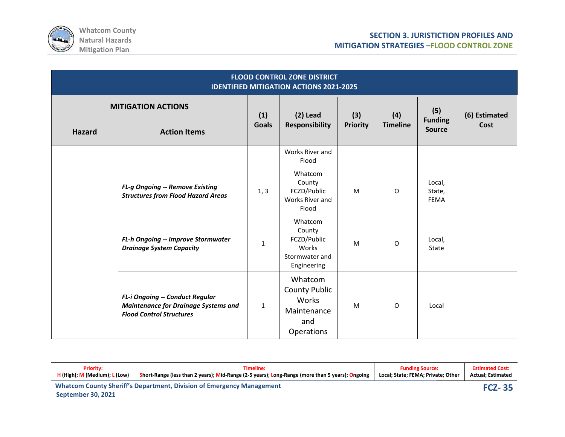

|                           | <b>FLOOD CONTROL ZONE DISTRICT</b><br><b>IDENTIFIED MITIGATION ACTIONS 2021-2025</b>                              |              |                                                                              |                 |                 |                                 |               |
|---------------------------|-------------------------------------------------------------------------------------------------------------------|--------------|------------------------------------------------------------------------------|-----------------|-----------------|---------------------------------|---------------|
| <b>MITIGATION ACTIONS</b> |                                                                                                                   | (1)          | $(2)$ Lead                                                                   | (3)             | (4)             | (5)<br><b>Funding</b>           | (6) Estimated |
| <b>Hazard</b>             | <b>Action Items</b>                                                                                               | <b>Goals</b> | <b>Responsibility</b>                                                        | <b>Priority</b> | <b>Timeline</b> | <b>Source</b>                   | Cost          |
|                           |                                                                                                                   |              | Works River and<br>Flood                                                     |                 |                 |                                 |               |
|                           | FL-g Ongoing -- Remove Existing<br><b>Structures from Flood Hazard Areas</b>                                      | 1, 3         | Whatcom<br>County<br>FCZD/Public<br>Works River and<br>Flood                 | M               | $\circ$         | Local,<br>State,<br><b>FEMA</b> |               |
|                           | FL-h Ongoing -- Improve Stormwater<br><b>Drainage System Capacity</b>                                             | $\mathbf{1}$ | Whatcom<br>County<br>FCZD/Public<br>Works<br>Stormwater and<br>Engineering   | M               | $\Omega$        | Local,<br>State                 |               |
|                           | FL-i Ongoing -- Conduct Regular<br><b>Maintenance for Drainage Systems and</b><br><b>Flood Control Structures</b> | $\mathbf{1}$ | Whatcom<br><b>County Public</b><br>Works<br>Maintenance<br>and<br>Operations | M               | $\circ$         | Local                           |               |

| <b>Priority:</b>                | Timeline:                                                                                       | <b>Funding Source:</b>             | <b>Estimated Cost:</b>    |
|---------------------------------|-------------------------------------------------------------------------------------------------|------------------------------------|---------------------------|
| $H$ (High); M (Medium); L (Low) | Short-Range (less than 2 years); Mid-Range (2-5 years); Long-Range (more than 5 years); Ongoing | Local; State; FEMA; Private; Other | <b>Actual</b> ; Estimated |
| <b>September 30, 2021</b>       | Whatcom County Sheriff's Department, Division of Emergency Management                           |                                    | <b>FCZ-35</b>             |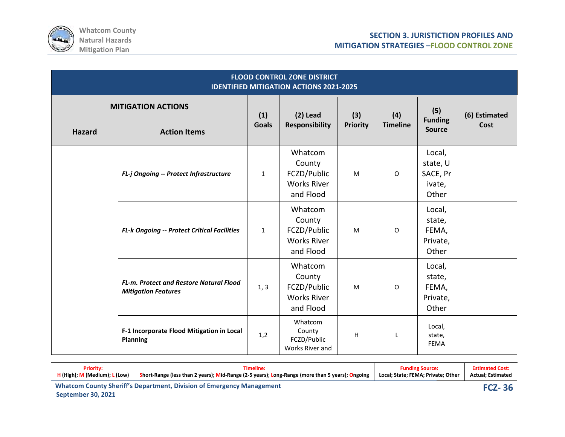

|                           | <b>FLOOD CONTROL ZONE DISTRICT</b><br><b>IDENTIFIED MITIGATION ACTIONS 2021-2025</b> |              |                                                                     |                 |                 |                                                   |               |  |
|---------------------------|--------------------------------------------------------------------------------------|--------------|---------------------------------------------------------------------|-----------------|-----------------|---------------------------------------------------|---------------|--|
| <b>MITIGATION ACTIONS</b> |                                                                                      | (1)          | $(2)$ Lead                                                          | (3)             | (4)             | (5)<br><b>Funding</b>                             | (6) Estimated |  |
| <b>Hazard</b>             | <b>Action Items</b>                                                                  | <b>Goals</b> | <b>Responsibility</b>                                               | <b>Priority</b> | <b>Timeline</b> | <b>Source</b>                                     | Cost          |  |
|                           | FL-j Ongoing -- Protect Infrastructure                                               | $\mathbf{1}$ | Whatcom<br>County<br>FCZD/Public<br><b>Works River</b><br>and Flood | M               | $\Omega$        | Local,<br>state, U<br>SACE, Pr<br>ivate,<br>Other |               |  |
|                           | FL-k Ongoing -- Protect Critical Facilities                                          | $\mathbf{1}$ | Whatcom<br>County<br>FCZD/Public<br><b>Works River</b><br>and Flood | M               | O               | Local,<br>state,<br>FEMA,<br>Private,<br>Other    |               |  |
|                           | FL-m. Protect and Restore Natural Flood<br><b>Mitigation Features</b>                | 1, 3         | Whatcom<br>County<br>FCZD/Public<br><b>Works River</b><br>and Flood | M               | O               | Local,<br>state,<br>FEMA,<br>Private,<br>Other    |               |  |
|                           | F-1 Incorporate Flood Mitigation in Local<br><b>Planning</b>                         | 1,2          | Whatcom<br>County<br>FCZD/Public<br>Works River and                 | H               | L               | Local,<br>state,<br><b>FEMA</b>                   |               |  |

| <b>Priority:</b>                    | Timeline:                                                                                       | <b>Funding Source:</b>             | <b>Estimated Cost:</b>   |
|-------------------------------------|-------------------------------------------------------------------------------------------------|------------------------------------|--------------------------|
| $H$ (High); $M$ (Medium); $L$ (Low) | Short-Range (less than 2 years); Mid-Range (2-5 years); Long-Range (more than 5 years); Ongoing | Local; State; FEMA; Private; Other | <b>Actual: Estimated</b> |
|                                     | Whatcom County Sheriff's Denartment, Division of Emergency Management                           |                                    | - 2                      |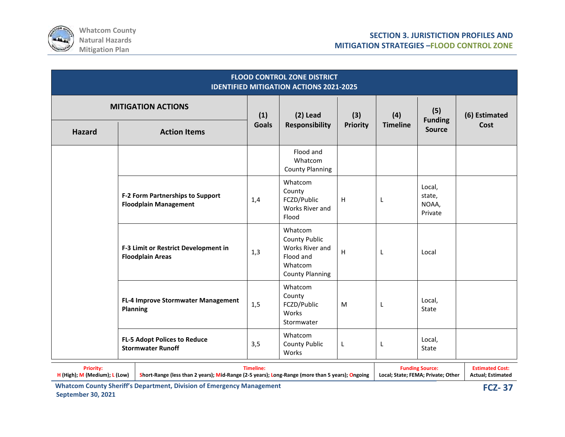

|               | <b>FLOOD CONTROL ZONE DISTRICT</b><br><b>IDENTIFIED MITIGATION ACTIONS 2021-2025</b> |              |                                                                                                      |                 |                 |                                      |               |  |
|---------------|--------------------------------------------------------------------------------------|--------------|------------------------------------------------------------------------------------------------------|-----------------|-----------------|--------------------------------------|---------------|--|
|               | <b>MITIGATION ACTIONS</b>                                                            | (1)          | $(2)$ Lead                                                                                           | (3)             | (4)             | (5)<br><b>Funding</b>                | (6) Estimated |  |
| <b>Hazard</b> | <b>Action Items</b>                                                                  | <b>Goals</b> | <b>Responsibility</b>                                                                                | <b>Priority</b> | <b>Timeline</b> | <b>Source</b>                        | Cost          |  |
|               |                                                                                      |              | Flood and<br>Whatcom<br><b>County Planning</b>                                                       |                 |                 |                                      |               |  |
|               | F-2 Form Partnerships to Support<br><b>Floodplain Management</b>                     | 1,4          | Whatcom<br>County<br>FCZD/Public<br>Works River and<br>Flood                                         | H               | L               | Local,<br>state,<br>NOAA,<br>Private |               |  |
|               | F-3 Limit or Restrict Development in<br><b>Floodplain Areas</b>                      | 1,3          | Whatcom<br><b>County Public</b><br>Works River and<br>Flood and<br>Whatcom<br><b>County Planning</b> | H               | L               | Local                                |               |  |
|               | FL-4 Improve Stormwater Management<br><b>Planning</b>                                | 1,5          | Whatcom<br>County<br>FCZD/Public<br>Works<br>Stormwater                                              | M               | L               | Local,<br>State                      |               |  |
|               | <b>FL-5 Adopt Polices to Reduce</b><br><b>Stormwater Runoff</b>                      | 3,5          | Whatcom<br><b>County Public</b><br>Works                                                             | L               | L               | Local,<br>State                      |               |  |

| <b>Priority:</b>              | imeline                                                                                         | <b>Funding Source:</b>             | <b>Estimated Cost.</b>   |
|-------------------------------|-------------------------------------------------------------------------------------------------|------------------------------------|--------------------------|
| H (High); M (Medium); L (Low) | Short-Range (less than 2 years); Mid-Range (2-5 years); Long-Range (more than 5 years); Ongoing | Local; State; FEMA; Private; Other | <b>Actual: Estimated</b> |

**Whatcom County Sheriff's Department, Division of Emergency Management September 30, 2021**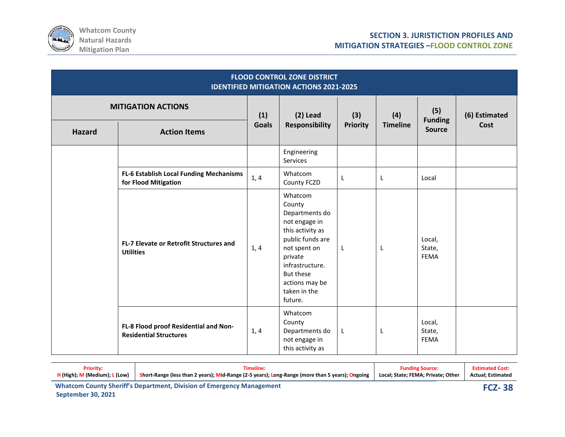

|                           |               | <b>FLOOD CONTROL ZONE DISTRICT</b><br><b>IDENTIFIED MITIGATION ACTIONS 2021-2025</b> |              |                                                                                                                                                                                                             |                 |                       |                                 |      |
|---------------------------|---------------|--------------------------------------------------------------------------------------|--------------|-------------------------------------------------------------------------------------------------------------------------------------------------------------------------------------------------------------|-----------------|-----------------------|---------------------------------|------|
| <b>MITIGATION ACTIONS</b> |               | (1)                                                                                  | $(2)$ Lead   | (3)                                                                                                                                                                                                         | (4)             | (5)<br><b>Funding</b> | (6) Estimated                   |      |
|                           | <b>Hazard</b> | <b>Action Items</b>                                                                  | <b>Goals</b> | <b>Responsibility</b>                                                                                                                                                                                       | <b>Priority</b> | <b>Timeline</b>       | <b>Source</b>                   | Cost |
|                           |               |                                                                                      |              | Engineering<br>Services                                                                                                                                                                                     |                 |                       |                                 |      |
|                           |               | FL-6 Establish Local Funding Mechanisms<br>for Flood Mitigation                      | 1, 4         | Whatcom<br>County FCZD                                                                                                                                                                                      | L               | Г                     | Local                           |      |
|                           |               | FL-7 Elevate or Retrofit Structures and<br><b>Utilities</b>                          | 1, 4         | Whatcom<br>County<br>Departments do<br>not engage in<br>this activity as<br>public funds are<br>not spent on<br>private<br>infrastructure.<br><b>But these</b><br>actions may be<br>taken in the<br>future. | L               | L                     | Local,<br>State,<br><b>FEMA</b> |      |
|                           |               | FL-8 Flood proof Residential and Non-<br><b>Residential Structures</b>               | 1, 4         | Whatcom<br>County<br>Departments do<br>not engage in<br>this activity as                                                                                                                                    | L               | L                     | Local,<br>State,<br><b>FEMA</b> |      |

| <b>Priority:</b>                                                      | Timeline:                                                                                       | <b>Funding Source:</b>             | <b>Estimated Cost:</b>   |  |  |
|-----------------------------------------------------------------------|-------------------------------------------------------------------------------------------------|------------------------------------|--------------------------|--|--|
| $H$ (High); M (Medium); L (Low)                                       | Short-Range (less than 2 years); Mid-Range (2-5 years); Long-Range (more than 5 years); Ongoing | Local: State: FEMA: Private: Other | <b>Actual: Estimated</b> |  |  |
| Whatcom County Sheriff's Department, Division of Emergency Management |                                                                                                 |                                    |                          |  |  |

 **September 30, 2021**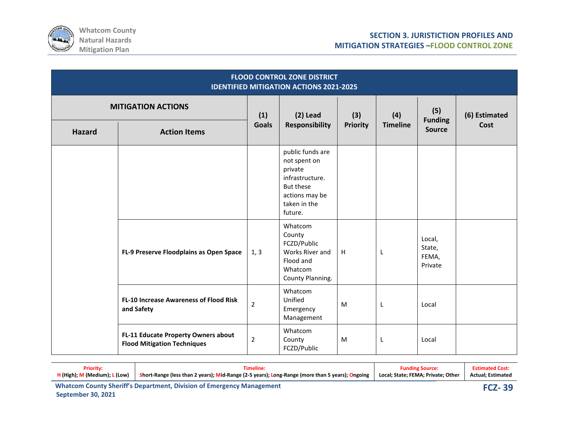

|               | <b>FLOOD CONTROL ZONE DISTRICT</b><br><b>IDENTIFIED MITIGATION ACTIONS 2021-2025</b> |                |                                                                                                                          |                 |                 |                                      |               |  |
|---------------|--------------------------------------------------------------------------------------|----------------|--------------------------------------------------------------------------------------------------------------------------|-----------------|-----------------|--------------------------------------|---------------|--|
|               | <b>MITIGATION ACTIONS</b>                                                            | (1)            | $(2)$ Lead                                                                                                               | (3)             | (4)             | (5)<br><b>Funding</b>                | (6) Estimated |  |
| <b>Hazard</b> | <b>Action Items</b>                                                                  | <b>Goals</b>   | <b>Responsibility</b>                                                                                                    | <b>Priority</b> | <b>Timeline</b> | <b>Source</b>                        | Cost          |  |
|               |                                                                                      |                | public funds are<br>not spent on<br>private<br>infrastructure.<br>But these<br>actions may be<br>taken in the<br>future. |                 |                 |                                      |               |  |
|               | FL-9 Preserve Floodplains as Open Space                                              | 1, 3           | Whatcom<br>County<br>FCZD/Public<br>Works River and<br>Flood and<br>Whatcom<br>County Planning.                          | H               | L               | Local,<br>State,<br>FEMA,<br>Private |               |  |
|               | <b>FL-10 Increase Awareness of Flood Risk</b><br>and Safety                          | $\overline{2}$ | Whatcom<br>Unified<br>Emergency<br>Management                                                                            | M               | L               | Local                                |               |  |
|               | FL-11 Educate Property Owners about<br><b>Flood Mitigation Techniques</b>            | $\overline{2}$ | Whatcom<br>County<br>FCZD/Public                                                                                         | M               | L               | Local                                |               |  |

| <b>Priority:</b>              | <b>Timeline</b>                                                                                                                                                                                                                                                                                                                                                                                                        | <b>Funding Source:</b>             | <b>Estimated Cost:</b>   |
|-------------------------------|------------------------------------------------------------------------------------------------------------------------------------------------------------------------------------------------------------------------------------------------------------------------------------------------------------------------------------------------------------------------------------------------------------------------|------------------------------------|--------------------------|
| H (High); M (Medium); L (Low) | Short-Range (less than 2 years); Mid-Range (2-5 years); Long-Range (more than 5 years); Ongoing                                                                                                                                                                                                                                                                                                                        | Local: State: FEMA: Private: Other | <b>Actual: Estimated</b> |
|                               | $\mathbf{A} \mathbf{A} \mathbf{A} \mathbf{A} \mathbf{A} \mathbf{A} \mathbf{A} \mathbf{A} \mathbf{A} \mathbf{A} \mathbf{A} \mathbf{A} \mathbf{A} \mathbf{A} \mathbf{A} \mathbf{A} \mathbf{A} \mathbf{A} \mathbf{A} \mathbf{A} \mathbf{A} \mathbf{A} \mathbf{A} \mathbf{A} \mathbf{A} \mathbf{A} \mathbf{A} \mathbf{A} \mathbf{A} \mathbf{A} \mathbf{A} \mathbf{A} \mathbf{A} \mathbf{A} \mathbf{A} \mathbf{A} \mathbf{$ |                                    | ____                     |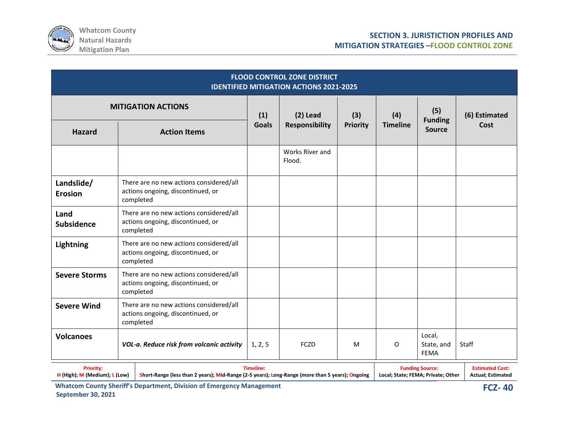

|                              |                                                                                           |                                                                                           |                  | <b>FLOOD CONTROL ZONE DISTRICT</b><br><b>IDENTIFIED MITIGATION ACTIONS 2021-2025</b> |                 |                                                  |                                     |              |
|------------------------------|-------------------------------------------------------------------------------------------|-------------------------------------------------------------------------------------------|------------------|--------------------------------------------------------------------------------------|-----------------|--------------------------------------------------|-------------------------------------|--------------|
| <b>MITIGATION ACTIONS</b>    |                                                                                           | (1)                                                                                       | $(2)$ Lead       | (3)                                                                                  | (4)             | (5)                                              | (6) Estimated                       |              |
| <b>Hazard</b>                |                                                                                           | <b>Action Items</b>                                                                       | <b>Goals</b>     | <b>Responsibility</b>                                                                | <b>Priority</b> | <b>Timeline</b>                                  | <b>Funding</b><br><b>Source</b>     | Cost         |
|                              |                                                                                           |                                                                                           |                  | Works River and<br>Flood.                                                            |                 |                                                  |                                     |              |
| Landslide/<br><b>Erosion</b> |                                                                                           | There are no new actions considered/all<br>actions ongoing, discontinued, or<br>completed |                  |                                                                                      |                 |                                                  |                                     |              |
| Land<br><b>Subsidence</b>    |                                                                                           | There are no new actions considered/all<br>actions ongoing, discontinued, or<br>completed |                  |                                                                                      |                 |                                                  |                                     |              |
| <b>Lightning</b>             | There are no new actions considered/all<br>actions ongoing, discontinued, or<br>completed |                                                                                           |                  |                                                                                      |                 |                                                  |                                     |              |
| <b>Severe Storms</b>         |                                                                                           | There are no new actions considered/all<br>actions ongoing, discontinued, or<br>completed |                  |                                                                                      |                 |                                                  |                                     |              |
| <b>Severe Wind</b>           |                                                                                           | There are no new actions considered/all<br>actions ongoing, discontinued, or<br>completed |                  |                                                                                      |                 |                                                  |                                     |              |
| <b>Volcanoes</b>             |                                                                                           | VOL-a. Reduce risk from volcanic activity                                                 | 1, 2, 5          | <b>FCZD</b>                                                                          | M               | 0                                                | Local,<br>State, and<br><b>FEMA</b> | <b>Staff</b> |
| <b>Priority:</b>             |                                                                                           |                                                                                           | <b>Timeline:</b> |                                                                                      |                 | <b>Estimated Cost:</b><br><b>Funding Source:</b> |                                     |              |

**H (High); M (Medium); L (Low) Short-Range (less than 2 years); Mid-Range (2-5 years); Long-Range (more than 5 years); Ongoing Local; State; FEMA; Private; Other Actual; Estimated**

**Whatcom County Sheriff's Department, Division of Emergency Management September 30, 2021**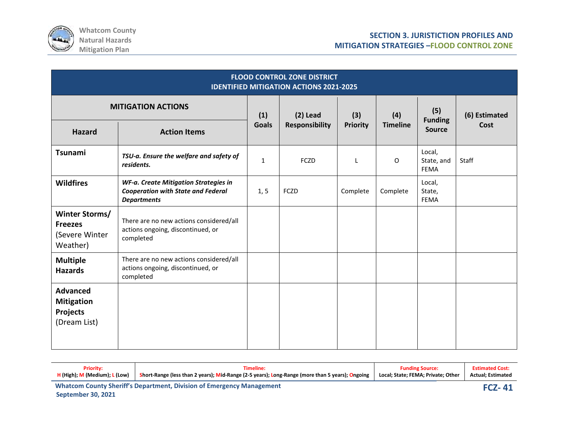

|                                                                         | <b>FLOOD CONTROL ZONE DISTRICT</b><br><b>IDENTIFIED MITIGATION ACTIONS 2021-2025</b>                     |              |                       |                 |                 |                                     |               |  |  |
|-------------------------------------------------------------------------|----------------------------------------------------------------------------------------------------------|--------------|-----------------------|-----------------|-----------------|-------------------------------------|---------------|--|--|
| <b>MITIGATION ACTIONS</b>                                               |                                                                                                          | (1)          | $(2)$ Lead            | (3)             | (4)             | (5)                                 | (6) Estimated |  |  |
| <b>Hazard</b>                                                           | <b>Action Items</b>                                                                                      | <b>Goals</b> | <b>Responsibility</b> | <b>Priority</b> | <b>Timeline</b> | <b>Funding</b><br><b>Source</b>     | Cost          |  |  |
| <b>Tsunami</b>                                                          | TSU-a. Ensure the welfare and safety of<br>residents.                                                    | $\mathbf{1}$ | FCZD                  | L               | 0               | Local,<br>State, and<br><b>FEMA</b> | Staff         |  |  |
| <b>Wildfires</b>                                                        | WF-a. Create Mitigation Strategies in<br><b>Cooperation with State and Federal</b><br><b>Departments</b> | 1, 5         | <b>FCZD</b>           | Complete        | Complete        | Local,<br>State,<br><b>FEMA</b>     |               |  |  |
| Winter Storms/<br><b>Freezes</b><br>(Severe Winter<br>Weather)          | There are no new actions considered/all<br>actions ongoing, discontinued, or<br>completed                |              |                       |                 |                 |                                     |               |  |  |
| <b>Multiple</b><br><b>Hazards</b>                                       | There are no new actions considered/all<br>actions ongoing, discontinued, or<br>completed                |              |                       |                 |                 |                                     |               |  |  |
| <b>Advanced</b><br><b>Mitigation</b><br><b>Projects</b><br>(Dream List) |                                                                                                          |              |                       |                 |                 |                                     |               |  |  |

| <b>Priority:</b>                | <b>Timeline:</b>                                                                                | <b>Funding Source:</b>             | <b>Estimated Cost:</b>    |
|---------------------------------|-------------------------------------------------------------------------------------------------|------------------------------------|---------------------------|
| $H$ (High); M (Medium); L (Low) | Short-Range (less than 2 years); Mid-Range (2-5 years); Long-Range (more than 5 years); Ongoing | Local; State; FEMA; Private; Other | <b>Actual</b> ; Estimated |
| <b>September 30, 2021</b>       | Whatcom County Sheriff's Department, Division of Emergency Management                           |                                    | <b>FCZ-41</b>             |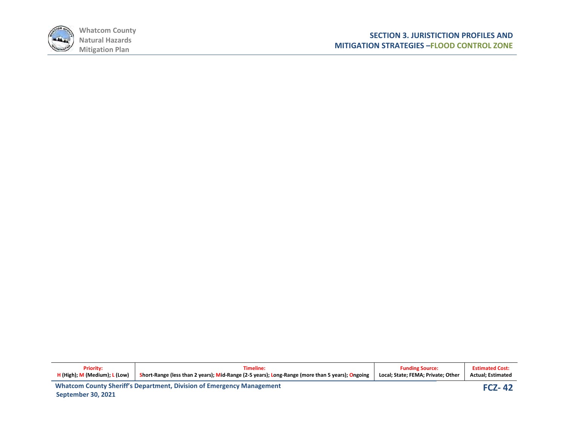

| <b>Priority:</b>                | Timeline:                                                                                       | <b>Funding Source:</b>             | <b>Estimated Cost:</b>    |
|---------------------------------|-------------------------------------------------------------------------------------------------|------------------------------------|---------------------------|
| $H$ (High); M (Medium); L (Low) | Short-Range (less than 2 years); Mid-Range (2-5 years); Long-Range (more than 5 years); Ongoing | Local; State; FEMA; Private; Other | <b>Actual</b> ; Estimated |
| September 30, 2021              | <b>Whatcom County Sheriff's Department, Division of Emergency Management</b>                    |                                    | <b>FCZ-42</b>             |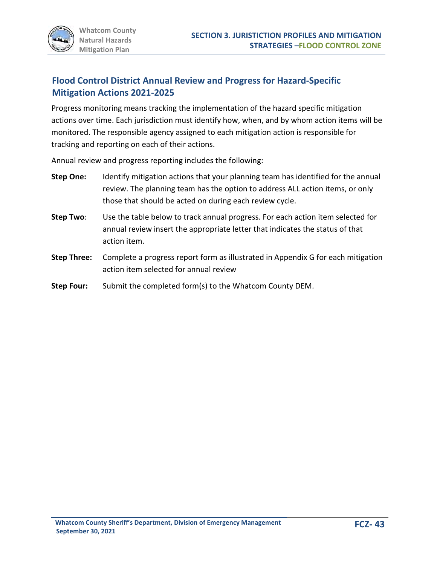# **Flood Control District Annual Review and Progress for Hazard-Specific Mitigation Actions 2021-2025**

Progress monitoring means tracking the implementation of the hazard specific mitigation actions over time. Each jurisdiction must identify how, when, and by whom action items will be monitored. The responsible agency assigned to each mitigation action is responsible for tracking and reporting on each of their actions.

Annual review and progress reporting includes the following:

- **Step One:** Identify mitigation actions that your planning team has identified for the annual review. The planning team has the option to address ALL action items, or only those that should be acted on during each review cycle.
- **Step Two**: Use the table below to track annual progress. For each action item selected for annual review insert the appropriate letter that indicates the status of that action item.
- **Step Three:** Complete a progress report form as illustrated in Appendix G for each mitigation action item selected for annual review
- **Step Four:** Submit the completed form(s) to the Whatcom County DEM.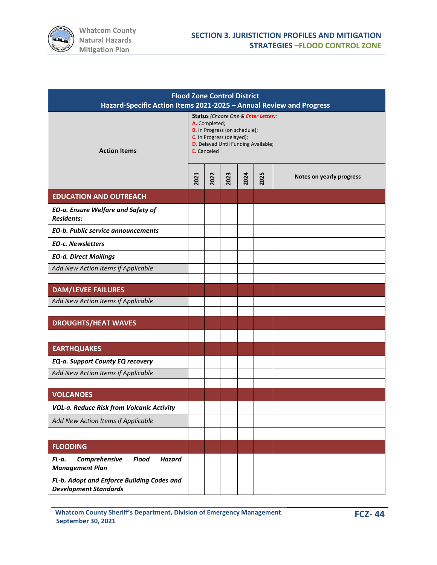

| <b>Flood Zone Control District</b><br>Hazard-Specific Action Items 2021-2025 - Annual Review and Progress |  |                                                                                                                                                                                 |      |      |      |                          |  |  |  |  |
|-----------------------------------------------------------------------------------------------------------|--|---------------------------------------------------------------------------------------------------------------------------------------------------------------------------------|------|------|------|--------------------------|--|--|--|--|
| <b>Action Items</b>                                                                                       |  | Status (Choose One & Enter Letter):<br>A. Completed;<br>B. In Progress (on schedule);<br>C. In Progress (delayed);<br><b>D.</b> Delayed Until Funding Available;<br>E. Canceled |      |      |      |                          |  |  |  |  |
|                                                                                                           |  | 2022                                                                                                                                                                            | 2023 | 2024 | 2025 | Notes on yearly progress |  |  |  |  |
| <b>EDUCATION AND OUTREACH</b>                                                                             |  |                                                                                                                                                                                 |      |      |      |                          |  |  |  |  |
| EO-a. Ensure Welfare and Safety of<br><b>Residents:</b>                                                   |  |                                                                                                                                                                                 |      |      |      |                          |  |  |  |  |
| <b>EO-b. Public service announcements</b>                                                                 |  |                                                                                                                                                                                 |      |      |      |                          |  |  |  |  |
| <b>EO-c. Newsletters</b>                                                                                  |  |                                                                                                                                                                                 |      |      |      |                          |  |  |  |  |
| <b>EO-d. Direct Mailings</b>                                                                              |  |                                                                                                                                                                                 |      |      |      |                          |  |  |  |  |
| Add New Action Items if Applicable                                                                        |  |                                                                                                                                                                                 |      |      |      |                          |  |  |  |  |
| <b>DAM/LEVEE FAILURES</b>                                                                                 |  |                                                                                                                                                                                 |      |      |      |                          |  |  |  |  |
| Add New Action Items if Applicable                                                                        |  |                                                                                                                                                                                 |      |      |      |                          |  |  |  |  |
| <b>DROUGHTS/HEAT WAVES</b>                                                                                |  |                                                                                                                                                                                 |      |      |      |                          |  |  |  |  |
| <b>EARTHQUAKES</b>                                                                                        |  |                                                                                                                                                                                 |      |      |      |                          |  |  |  |  |
| EQ-a. Support County EQ recovery                                                                          |  |                                                                                                                                                                                 |      |      |      |                          |  |  |  |  |
| Add New Action Items if Applicable                                                                        |  |                                                                                                                                                                                 |      |      |      |                          |  |  |  |  |
| <b>VOLCANOES</b>                                                                                          |  |                                                                                                                                                                                 |      |      |      |                          |  |  |  |  |
| VOL-a. Reduce Risk from Volcanic Activity                                                                 |  |                                                                                                                                                                                 |      |      |      |                          |  |  |  |  |
| Add New Action Items if Applicable                                                                        |  |                                                                                                                                                                                 |      |      |      |                          |  |  |  |  |
| <b>FLOODING</b>                                                                                           |  |                                                                                                                                                                                 |      |      |      |                          |  |  |  |  |
| Comprehensive<br><b>Flood</b><br><b>Hazard</b><br>FL-a.<br><b>Management Plan</b>                         |  |                                                                                                                                                                                 |      |      |      |                          |  |  |  |  |
| FL-b. Adopt and Enforce Building Codes and<br><b>Development Standards</b>                                |  |                                                                                                                                                                                 |      |      |      |                          |  |  |  |  |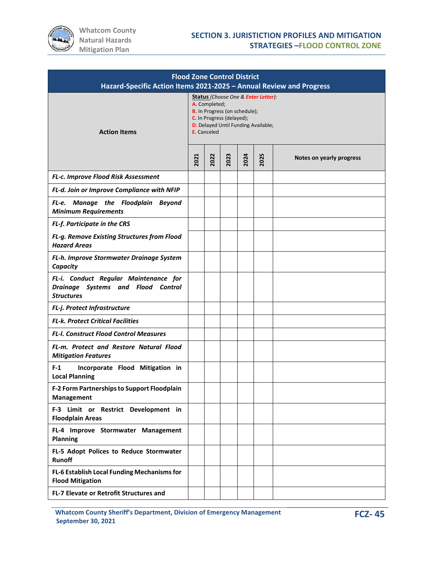

### **SECTION 3. JURISTICTION PROFILES AND MITIGATION STRATEGIES –FLOOD CONTROL ZONE**

| <b>Flood Zone Control District</b>                                                               |  |                                                                                                                                                                                 |      |      |      |                          |  |  |  |  |
|--------------------------------------------------------------------------------------------------|--|---------------------------------------------------------------------------------------------------------------------------------------------------------------------------------|------|------|------|--------------------------|--|--|--|--|
| Hazard-Specific Action Items 2021-2025 - Annual Review and Progress                              |  |                                                                                                                                                                                 |      |      |      |                          |  |  |  |  |
| <b>Action Items</b>                                                                              |  | Status (Choose One & Enter Letter):<br>A. Completed;<br>B. In Progress (on schedule);<br>C. In Progress (delayed);<br><b>D.</b> Delayed Until Funding Available;<br>E. Canceled |      |      |      |                          |  |  |  |  |
|                                                                                                  |  | 2022                                                                                                                                                                            | 2023 | 2024 | 2025 | Notes on yearly progress |  |  |  |  |
| FL-c. Improve Flood Risk Assessment                                                              |  |                                                                                                                                                                                 |      |      |      |                          |  |  |  |  |
| FL-d. Join or Improve Compliance with NFIP                                                       |  |                                                                                                                                                                                 |      |      |      |                          |  |  |  |  |
| FL-e. Manage the Floodplain Beyond<br><b>Minimum Requirements</b>                                |  |                                                                                                                                                                                 |      |      |      |                          |  |  |  |  |
| <b>FL-f. Participate in the CRS</b>                                                              |  |                                                                                                                                                                                 |      |      |      |                          |  |  |  |  |
| FL-g. Remove Existing Structures from Flood<br><b>Hazard Areas</b>                               |  |                                                                                                                                                                                 |      |      |      |                          |  |  |  |  |
| FL-h. Improve Stormwater Drainage System<br>Capacity                                             |  |                                                                                                                                                                                 |      |      |      |                          |  |  |  |  |
| FL-i. Conduct Regular Maintenance for<br>Drainage Systems and Flood Control<br><b>Structures</b> |  |                                                                                                                                                                                 |      |      |      |                          |  |  |  |  |
| FL-j. Protect Infrastructure                                                                     |  |                                                                                                                                                                                 |      |      |      |                          |  |  |  |  |
| <b>FL-k. Protect Critical Facilities</b>                                                         |  |                                                                                                                                                                                 |      |      |      |                          |  |  |  |  |
| <b>FL-I. Construct Flood Control Measures</b>                                                    |  |                                                                                                                                                                                 |      |      |      |                          |  |  |  |  |
| FL-m. Protect and Restore Natural Flood<br><b>Mitigation Features</b>                            |  |                                                                                                                                                                                 |      |      |      |                          |  |  |  |  |
| $F-1$<br>Incorporate Flood Mitigation in<br><b>Local Planning</b>                                |  |                                                                                                                                                                                 |      |      |      |                          |  |  |  |  |
| F-2 Form Partnerships to Support Floodplain<br>Management                                        |  |                                                                                                                                                                                 |      |      |      |                          |  |  |  |  |
| F-3 Limit or Restrict Development in<br><b>Floodplain Areas</b>                                  |  |                                                                                                                                                                                 |      |      |      |                          |  |  |  |  |
| FL-4 Improve Stormwater Management<br>Planning                                                   |  |                                                                                                                                                                                 |      |      |      |                          |  |  |  |  |
| FL-5 Adopt Polices to Reduce Stormwater<br><b>Runoff</b>                                         |  |                                                                                                                                                                                 |      |      |      |                          |  |  |  |  |
| FL-6 Establish Local Funding Mechanisms for<br><b>Flood Mitigation</b>                           |  |                                                                                                                                                                                 |      |      |      |                          |  |  |  |  |
| FL-7 Elevate or Retrofit Structures and                                                          |  |                                                                                                                                                                                 |      |      |      |                          |  |  |  |  |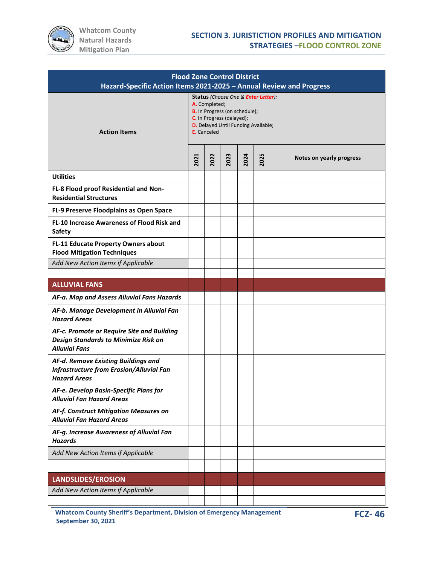

### **SECTION 3. JURISTICTION PROFILES AND MITIGATION STRATEGIES –FLOOD CONTROL ZONE**

| <b>Flood Zone Control District</b>                                                                                |  |                                                                                                                                                                                                                                                        |      |      |      |                          |  |  |  |
|-------------------------------------------------------------------------------------------------------------------|--|--------------------------------------------------------------------------------------------------------------------------------------------------------------------------------------------------------------------------------------------------------|------|------|------|--------------------------|--|--|--|
| <b>Action Items</b>                                                                                               |  | Hazard-Specific Action Items 2021-2025 - Annual Review and Progress<br>Status (Choose One & Enter Letter):<br>A. Completed;<br>B. In Progress (on schedule);<br>C. In Progress (delayed);<br><b>D.</b> Delayed Until Funding Available;<br>E. Canceled |      |      |      |                          |  |  |  |
|                                                                                                                   |  | 2022                                                                                                                                                                                                                                                   | 2023 | 2024 | 2025 | Notes on yearly progress |  |  |  |
| <b>Utilities</b>                                                                                                  |  |                                                                                                                                                                                                                                                        |      |      |      |                          |  |  |  |
| FL-8 Flood proof Residential and Non-<br><b>Residential Structures</b>                                            |  |                                                                                                                                                                                                                                                        |      |      |      |                          |  |  |  |
| FL-9 Preserve Floodplains as Open Space                                                                           |  |                                                                                                                                                                                                                                                        |      |      |      |                          |  |  |  |
| FL-10 Increase Awareness of Flood Risk and<br><b>Safety</b>                                                       |  |                                                                                                                                                                                                                                                        |      |      |      |                          |  |  |  |
| FL-11 Educate Property Owners about<br><b>Flood Mitigation Techniques</b>                                         |  |                                                                                                                                                                                                                                                        |      |      |      |                          |  |  |  |
| Add New Action Items if Applicable                                                                                |  |                                                                                                                                                                                                                                                        |      |      |      |                          |  |  |  |
|                                                                                                                   |  |                                                                                                                                                                                                                                                        |      |      |      |                          |  |  |  |
| <b>ALLUVIAL FANS</b>                                                                                              |  |                                                                                                                                                                                                                                                        |      |      |      |                          |  |  |  |
| AF-a. Map and Assess Alluvial Fans Hazards                                                                        |  |                                                                                                                                                                                                                                                        |      |      |      |                          |  |  |  |
| AF-b. Manage Development in Alluvial Fan<br><b>Hazard Areas</b>                                                   |  |                                                                                                                                                                                                                                                        |      |      |      |                          |  |  |  |
| AF-c. Promote or Require Site and Building<br><b>Design Standards to Minimize Risk on</b><br><b>Alluvial Fans</b> |  |                                                                                                                                                                                                                                                        |      |      |      |                          |  |  |  |
| AF-d. Remove Existing Buildings and<br>Infrastructure from Erosion/Alluvial Fan<br><b>Hazard Areas</b>            |  |                                                                                                                                                                                                                                                        |      |      |      |                          |  |  |  |
| AF-e. Develop Basin-Specific Plans for<br><b>Alluvial Fan Hazard Areas</b>                                        |  |                                                                                                                                                                                                                                                        |      |      |      |                          |  |  |  |
| AF-f. Construct Mitigation Measures on<br><b>Alluvial Fan Hazard Areas</b>                                        |  |                                                                                                                                                                                                                                                        |      |      |      |                          |  |  |  |
| AF-g. Increase Awareness of Alluvial Fan<br><b>Hazards</b>                                                        |  |                                                                                                                                                                                                                                                        |      |      |      |                          |  |  |  |
| Add New Action Items if Applicable                                                                                |  |                                                                                                                                                                                                                                                        |      |      |      |                          |  |  |  |
|                                                                                                                   |  |                                                                                                                                                                                                                                                        |      |      |      |                          |  |  |  |
| <b>LANDSLIDES/EROSION</b>                                                                                         |  |                                                                                                                                                                                                                                                        |      |      |      |                          |  |  |  |
| Add New Action Items if Applicable                                                                                |  |                                                                                                                                                                                                                                                        |      |      |      |                          |  |  |  |
|                                                                                                                   |  |                                                                                                                                                                                                                                                        |      |      |      |                          |  |  |  |

**Whatcom County Sheriff's Department, Division of Emergency Management September 30, 2021 FCZ- <sup>46</sup>**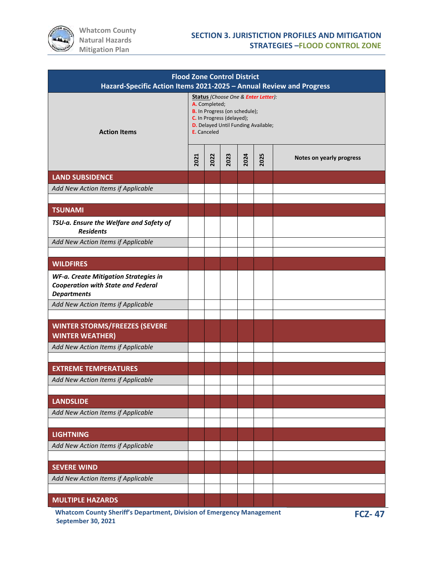

### **SECTION 3. JURISTICTION PROFILES AND MITIGATION STRATEGIES –FLOOD CONTROL ZONE**

| <b>Flood Zone Control District</b><br>Hazard-Specific Action Items 2021-2025 - Annual Review and Progress                  |                                                                                                                                                                                 |      |      |      |      |                          |  |  |
|----------------------------------------------------------------------------------------------------------------------------|---------------------------------------------------------------------------------------------------------------------------------------------------------------------------------|------|------|------|------|--------------------------|--|--|
| <b>Action Items</b>                                                                                                        | Status (Choose One & Enter Letter):<br>A. Completed;<br>B. In Progress (on schedule);<br>C. In Progress (delayed);<br><b>D.</b> Delayed Until Funding Available;<br>E. Canceled |      |      |      |      |                          |  |  |
|                                                                                                                            |                                                                                                                                                                                 | 2022 | 2023 | 2024 | 2025 | Notes on yearly progress |  |  |
| <b>LAND SUBSIDENCE</b>                                                                                                     |                                                                                                                                                                                 |      |      |      |      |                          |  |  |
| Add New Action Items if Applicable                                                                                         |                                                                                                                                                                                 |      |      |      |      |                          |  |  |
|                                                                                                                            |                                                                                                                                                                                 |      |      |      |      |                          |  |  |
| <b>TSUNAMI</b>                                                                                                             |                                                                                                                                                                                 |      |      |      |      |                          |  |  |
| TSU-a. Ensure the Welfare and Safety of<br><b>Residents</b>                                                                |                                                                                                                                                                                 |      |      |      |      |                          |  |  |
| Add New Action Items if Applicable                                                                                         |                                                                                                                                                                                 |      |      |      |      |                          |  |  |
|                                                                                                                            |                                                                                                                                                                                 |      |      |      |      |                          |  |  |
| <b>WILDFIRES</b>                                                                                                           |                                                                                                                                                                                 |      |      |      |      |                          |  |  |
| WF-a. Create Mitigation Strategies in<br><b>Cooperation with State and Federal</b><br><b>Departments</b>                   |                                                                                                                                                                                 |      |      |      |      |                          |  |  |
| Add New Action Items if Applicable                                                                                         |                                                                                                                                                                                 |      |      |      |      |                          |  |  |
| <b>WINTER STORMS/FREEZES (SEVERE</b><br><b>WINTER WEATHER)</b>                                                             |                                                                                                                                                                                 |      |      |      |      |                          |  |  |
| Add New Action Items if Applicable                                                                                         |                                                                                                                                                                                 |      |      |      |      |                          |  |  |
| <b>EXTREME TEMPERATURES</b>                                                                                                |                                                                                                                                                                                 |      |      |      |      |                          |  |  |
| Add New Action Items if Applicable                                                                                         |                                                                                                                                                                                 |      |      |      |      |                          |  |  |
| <b>LANDSLIDE</b>                                                                                                           |                                                                                                                                                                                 |      |      |      |      |                          |  |  |
| Add New Action Items if Applicable                                                                                         |                                                                                                                                                                                 |      |      |      |      |                          |  |  |
| <b>LIGHTNING</b>                                                                                                           |                                                                                                                                                                                 |      |      |      |      |                          |  |  |
| Add New Action Items if Applicable                                                                                         |                                                                                                                                                                                 |      |      |      |      |                          |  |  |
| <b>SEVERE WIND</b>                                                                                                         |                                                                                                                                                                                 |      |      |      |      |                          |  |  |
| Add New Action Items if Applicable                                                                                         |                                                                                                                                                                                 |      |      |      |      |                          |  |  |
| <b>MULTIPLE HAZARDS</b>                                                                                                    |                                                                                                                                                                                 |      |      |      |      |                          |  |  |
| <b>Whatcom County Sheriff's Department, Division of Emergency Management</b><br><b>FCZ-47</b><br><b>September 30, 2021</b> |                                                                                                                                                                                 |      |      |      |      |                          |  |  |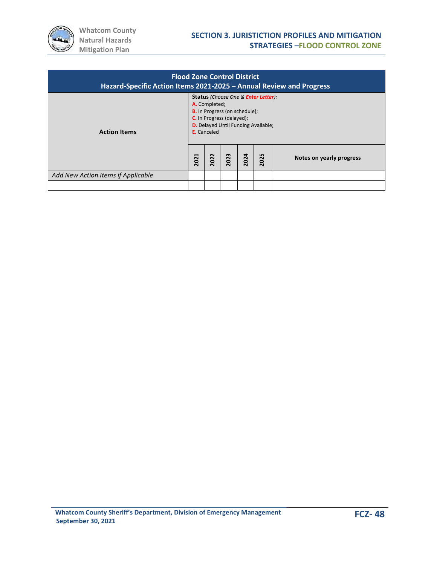

| <b>Flood Zone Control District</b><br>Hazard-Specific Action Items 2021-2025 - Annual Review and Progress |                                                                                                                                                                                                      |      |      |      |      |                          |  |
|-----------------------------------------------------------------------------------------------------------|------------------------------------------------------------------------------------------------------------------------------------------------------------------------------------------------------|------|------|------|------|--------------------------|--|
| <b>Action Items</b>                                                                                       | Status (Choose One & Enter Letter):<br>A. Completed;<br><b>B.</b> In Progress (on schedule);<br><b>C.</b> In Progress (delayed);<br><b>D.</b> Delayed Until Funding Available;<br><b>E.</b> Canceled |      |      |      |      |                          |  |
|                                                                                                           | 2021                                                                                                                                                                                                 | 2022 | 2023 | 2024 | 2025 | Notes on yearly progress |  |
| Add New Action Items if Applicable                                                                        |                                                                                                                                                                                                      |      |      |      |      |                          |  |
|                                                                                                           |                                                                                                                                                                                                      |      |      |      |      |                          |  |